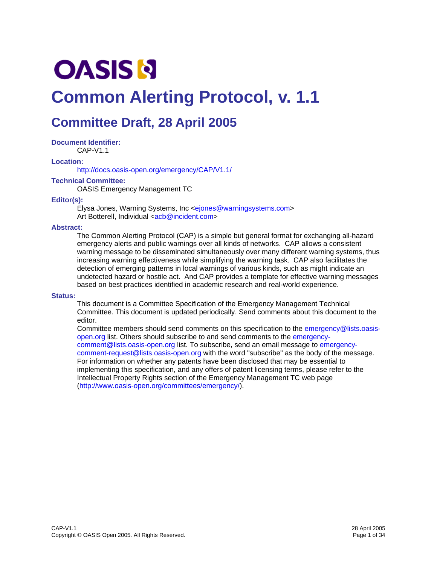# **OASIS N**

# **Common Alerting Protocol, v. 1.1**

# **Committee Draft, 28 April 2005**

**Document Identifier:**  CAP-V1.1

**Location:** 

http://docs.oasis-open.org/emergency/CAP/V1.1/

#### **Technical Committee:**

OASIS Emergency Management TC

#### **Editor(s):**

Elysa Jones, Warning Systems, Inc <ejones@warningsystems.com> Art Botterell, Individual <acb@incident.com>

#### **Abstract:**

The Common Alerting Protocol (CAP) is a simple but general format for exchanging all-hazard emergency alerts and public warnings over all kinds of networks. CAP allows a consistent warning message to be disseminated simultaneously over many different warning systems, thus increasing warning effectiveness while simplifying the warning task. CAP also facilitates the detection of emerging patterns in local warnings of various kinds, such as might indicate an undetected hazard or hostile act. And CAP provides a template for effective warning messages based on best practices identified in academic research and real-world experience.

#### **Status:**

This document is a Committee Specification of the Emergency Management Technical Committee. This document is updated periodically. Send comments about this document to the editor.

Committee members should send comments on this specification to the emergency@lists.oasisopen.org list. Others should subscribe to and send comments to the emergencycomment@lists.oasis-open.org list. To subscribe, send an email message to emergencycomment-request@lists.oasis-open.org with the word "subscribe" as the body of the message. For information on whether any patents have been disclosed that may be essential to implementing this specification, and any offers of patent licensing terms, please refer to the Intellectual Property Rights section of the Emergency Management TC web page (http://www.oasis-open.org/committees/emergency/).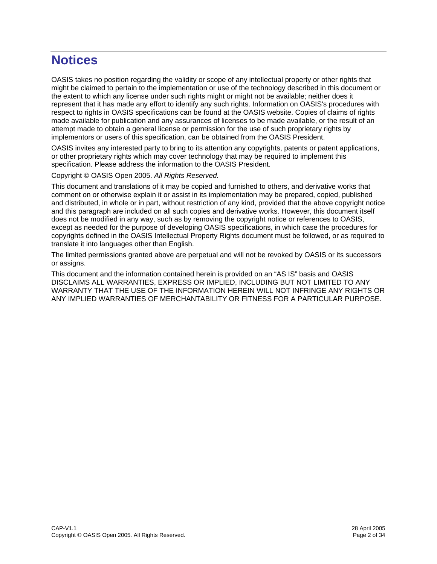# **Notices**

OASIS takes no position regarding the validity or scope of any intellectual property or other rights that might be claimed to pertain to the implementation or use of the technology described in this document or the extent to which any license under such rights might or might not be available; neither does it represent that it has made any effort to identify any such rights. Information on OASIS's procedures with respect to rights in OASIS specifications can be found at the OASIS website. Copies of claims of rights made available for publication and any assurances of licenses to be made available, or the result of an attempt made to obtain a general license or permission for the use of such proprietary rights by implementors or users of this specification, can be obtained from the OASIS President.

OASIS invites any interested party to bring to its attention any copyrights, patents or patent applications, or other proprietary rights which may cover technology that may be required to implement this specification. Please address the information to the OASIS President.

Copyright © OASIS Open 2005. *All Rights Reserved.*

This document and translations of it may be copied and furnished to others, and derivative works that comment on or otherwise explain it or assist in its implementation may be prepared, copied, published and distributed, in whole or in part, without restriction of any kind, provided that the above copyright notice and this paragraph are included on all such copies and derivative works. However, this document itself does not be modified in any way, such as by removing the copyright notice or references to OASIS, except as needed for the purpose of developing OASIS specifications, in which case the procedures for copyrights defined in the OASIS Intellectual Property Rights document must be followed, or as required to translate it into languages other than English.

The limited permissions granted above are perpetual and will not be revoked by OASIS or its successors or assigns.

This document and the information contained herein is provided on an "AS IS" basis and OASIS DISCLAIMS ALL WARRANTIES, EXPRESS OR IMPLIED, INCLUDING BUT NOT LIMITED TO ANY WARRANTY THAT THE USE OF THE INFORMATION HEREIN WILL NOT INFRINGE ANY RIGHTS OR ANY IMPLIED WARRANTIES OF MERCHANTABILITY OR FITNESS FOR A PARTICULAR PURPOSE.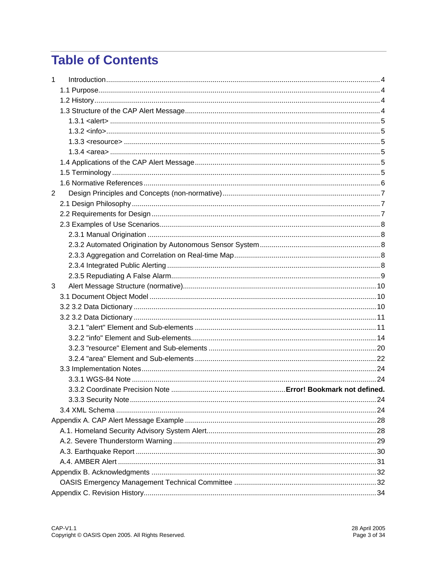# **Table of Contents**

| 1              |                        |  |
|----------------|------------------------|--|
|                |                        |  |
|                |                        |  |
|                |                        |  |
|                |                        |  |
|                | $1.3.2 \times 10^{10}$ |  |
|                |                        |  |
|                |                        |  |
|                |                        |  |
|                |                        |  |
|                |                        |  |
| $\overline{2}$ |                        |  |
|                |                        |  |
|                |                        |  |
|                |                        |  |
|                |                        |  |
|                |                        |  |
|                |                        |  |
|                |                        |  |
|                |                        |  |
| 3              |                        |  |
|                |                        |  |
|                |                        |  |
|                |                        |  |
|                |                        |  |
|                |                        |  |
|                |                        |  |
|                |                        |  |
|                |                        |  |
|                |                        |  |
|                |                        |  |
|                |                        |  |
|                |                        |  |
|                |                        |  |
|                |                        |  |
|                |                        |  |
|                |                        |  |
|                |                        |  |
|                |                        |  |
|                |                        |  |
|                |                        |  |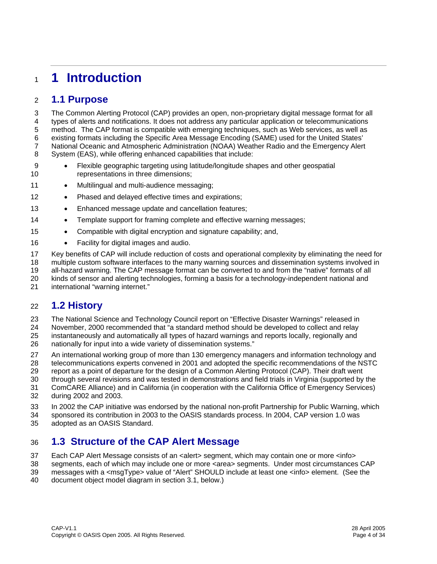# <sup>1</sup>**1 Introduction**

### 2 **1.1 Purpose**

3 The Common Alerting Protocol (CAP) provides an open, non-proprietary digital message format for all 4 types of alerts and notifications. It does not address any particular application or telecommunications 5 method. The CAP format is compatible with emerging techniques, such as Web services, as well as 6 existing formats including the Specific Area Message Encoding (SAME) used for the United States' 7 National Oceanic and Atmospheric Administration (NOAA) Weather Radio and the Emergency Alert 8 System (EAS), while offering enhanced capabilities that include:

- 9 Flexible geographic targeting using latitude/longitude shapes and other geospatial 10 representations in three dimensions;
- 11 Multilingual and multi-audience messaging;
- 12 Phased and delayed effective times and expirations;
- 13 Enhanced message update and cancellation features;
- 14 Template support for framing complete and effective warning messages;
- 15 Compatible with digital encryption and signature capability; and,
- 16 Facility for digital images and audio.
- 17 Key benefits of CAP will include reduction of costs and operational complexity by eliminating the need for
- 18 multiple custom software interfaces to the many warning sources and dissemination systems involved in
- 19 all-hazard warning. The CAP message format can be converted to and from the "native" formats of all
- 20 kinds of sensor and alerting technologies, forming a basis for a technology-independent national and
- 21 international "warning internet."

### 22 **1.2 History**

- 23 The National Science and Technology Council report on "Effective Disaster Warnings" released in
- 24 November, 2000 recommended that "a standard method should be developed to collect and relay
- 25 instantaneously and automatically all types of hazard warnings and reports locally, regionally and
- 26 nationally for input into a wide variety of dissemination systems."
- 27 An international working group of more than 130 emergency managers and information technology and 28 telecommunications experts convened in 2001 and adopted the specific recommendations of the NSTC
- 29 report as a point of departure for the design of a Common Alerting Protocol (CAP). Their draft went
- 30 through several revisions and was tested in demonstrations and field trials in Virginia (supported by the 31 ComCARE Alliance) and in California (in cooperation with the California Office of Emergency Services)
- 32 during 2002 and 2003.
- 33 In 2002 the CAP initiative was endorsed by the national non-profit Partnership for Public Warning, which
- 34 sponsored its contribution in 2003 to the OASIS standards process. In 2004, CAP version 1.0 was
- 35 adopted as an OASIS Standard.

# 36 **1.3 Structure of the CAP Alert Message**

- 37 Each CAP Alert Message consists of an <alert> segment, which may contain one or more <info>
- 38 segments, each of which may include one or more <area> segments. Under most circumstances CAP
- 39 messages with a <msgType> value of "Alert" SHOULD include at least one <info> element. (See the
- 40 document object model diagram in section 3.1, below.)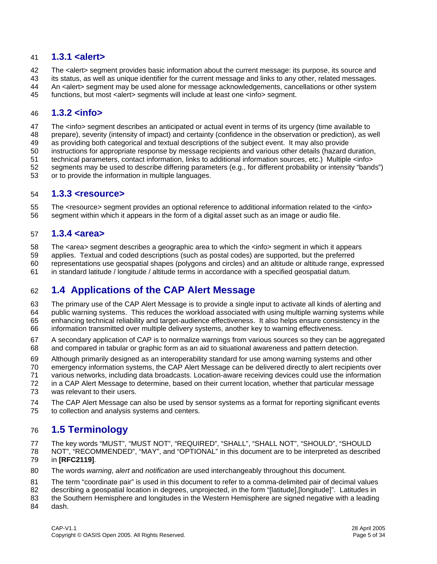#### 41 **1.3.1 <alert>**

42 The <alert> segment provides basic information about the current message: its purpose, its source and

- 43 its status, as well as unique identifier for the current message and links to any other, related messages.
- 44 An <alert> segment may be used alone for message acknowledgements, cancellations or other system
- 45 functions, but most <alert> segments will include at least one <info> segment.

#### 46 **1.3.2 <info>**

47 The <info> segment describes an anticipated or actual event in terms of its urgency (time available to

- 48 prepare), severity (intensity of impact) and certainty (confidence in the observation or prediction), as well
- 49 as providing both categorical and textual descriptions of the subject event. It may also provide
- 50 instructions for appropriate response by message recipients and various other details (hazard duration,
- 51 technical parameters, contact information, links to additional information sources, etc.) Multiple <info>
- 52 segments may be used to describe differing parameters (e.g., for different probability or intensity "bands")
- 53 or to provide the information in multiple languages.

#### 54 **1.3.3 <resource>**

55 The <resource> segment provides an optional reference to additional information related to the <info> 56 segment within which it appears in the form of a digital asset such as an image or audio file.

#### 57 **1.3.4 <area>**

58 The <area> segment describes a geographic area to which the <info> segment in which it appears

- 59 applies. Textual and coded descriptions (such as postal codes) are supported, but the preferred
- 60 representations use geospatial shapes (polygons and circles) and an altitude or altitude range, expressed
- 61 in standard latitude / longitude / altitude terms in accordance with a specified geospatial datum.

### 62 **1.4 Applications of the CAP Alert Message**

63 The primary use of the CAP Alert Message is to provide a single input to activate all kinds of alerting and

- 64 public warning systems. This reduces the workload associated with using multiple warning systems while 65 enhancing technical reliability and target-audience effectiveness. It also helps ensure consistency in the
- 66 information transmitted over multiple delivery systems, another key to warning effectiveness.
- 67 A secondary application of CAP is to normalize warnings from various sources so they can be aggregated 68 and compared in tabular or graphic form as an aid to situational awareness and pattern detection.
- 69 Although primarily designed as an interoperability standard for use among warning systems and other
- 70 emergency information systems, the CAP Alert Message can be delivered directly to alert recipients over
- 71 various networks, including data broadcasts. Location-aware receiving devices could use the information
- 72 in a CAP Alert Message to determine, based on their current location, whether that particular message 73 was relevant to their users.
- 74 The CAP Alert Message can also be used by sensor systems as a format for reporting significant events 75 to collection and analysis systems and centers.

### 76 **1.5 Terminology**

77 The key words "MUST", "MUST NOT", "REQUIRED", "SHALL", "SHALL NOT", "SHOULD", "SHOULD

- 78 NOT", "RECOMMENDED", "MAY", and "OPTIONAL" in this document are to be interpreted as described 79 in **[RFC2119]**.
- 80 The words *warning*, *alert* and *notification* are used interchangeably throughout this document.
- 81 The term "coordinate pair" is used in this document to refer to a comma-delimited pair of decimal values
- 82 describing a geospatial location in degrees, unprojected, in the form "[latitude],[longitude]". Latitudes in
- 83 the Southern Hemisphere and longitudes in the Western Hemisphere are signed negative with a leading 84 dash.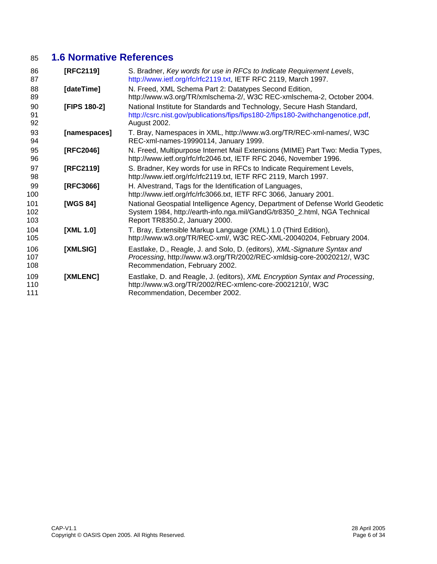# 85 **1.6 Normative References**

| 86<br>87          | [RFC2119]    | S. Bradner, Key words for use in RFCs to Indicate Requirement Levels,<br>http://www.ietf.org/rfc/rfc2119.txt, IETF RFC 2119, March 1997.                                                     |
|-------------------|--------------|----------------------------------------------------------------------------------------------------------------------------------------------------------------------------------------------|
| 88<br>89          | [dateTime]   | N. Freed, XML Schema Part 2: Datatypes Second Edition,<br>http://www.w3.org/TR/xmlschema-2/, W3C REC-xmlschema-2, October 2004.                                                              |
| 90<br>91<br>92    | [FIPS 180-2] | National Institute for Standards and Technology, Secure Hash Standard,<br>http://csrc.nist.gov/publications/fips/fips180-2/fips180-2withchangenotice.pdf,<br>August 2002.                    |
| 93<br>94          | [namespaces] | T. Bray, Namespaces in XML, http://www.w3.org/TR/REC-xml-names/, W3C<br>REC-xml-names-19990114, January 1999.                                                                                |
| 95<br>96          | [RFC2046]    | N. Freed, Multipurpose Internet Mail Extensions (MIME) Part Two: Media Types,<br>http://www.ietf.org/rfc/rfc2046.txt, IETF RFC 2046, November 1996.                                          |
| 97<br>98          | [RFC2119]    | S. Bradner, Key words for use in RFCs to Indicate Requirement Levels,<br>http://www.ietf.org/rfc/rfc2119.txt, IETF RFC 2119, March 1997.                                                     |
| 99<br>100         | [RFC3066]    | H. Alvestrand, Tags for the Identification of Languages,<br>http://www.ietf.org/rfc/rfc3066.txt, IETF RFC 3066, January 2001.                                                                |
| 101<br>102<br>103 | [WGS 84]     | National Geospatial Intelligence Agency, Department of Defense World Geodetic<br>System 1984, http://earth-info.nga.mil/GandG/tr8350_2.html, NGA Technical<br>Report TR8350.2, January 2000. |
| 104<br>105        | [XML 1.0]    | T. Bray, Extensible Markup Language (XML) 1.0 (Third Edition),<br>http://www.w3.org/TR/REC-xml/, W3C REC-XML-20040204, February 2004.                                                        |
| 106<br>107<br>108 | [XMLSIG]     | Eastlake, D., Reagle, J. and Solo, D. (editors), XML-Signature Syntax and<br>Processing, http://www.w3.org/TR/2002/REC-xmldsig-core-20020212/, W3C<br>Recommendation, February 2002.         |
| 109<br>110<br>111 | [XMLENC]     | Eastlake, D. and Reagle, J. (editors), XML Encryption Syntax and Processing,<br>http://www.w3.org/TR/2002/REC-xmlenc-core-20021210/, W3C<br>Recommendation, December 2002.                   |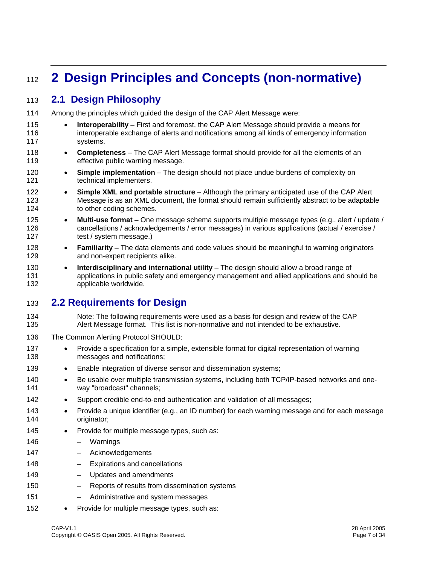# <sup>112</sup>**2 Design Principles and Concepts (non-normative)**

### 113 **2.1 Design Philosophy**

- 114 Among the principles which guided the design of the CAP Alert Message were:
- 115 **Interoperability** First and foremost, the CAP Alert Message should provide a means for 116 interoperable exchange of alerts and notifications among all kinds of emergency information 117 systems.
- 118 **Completeness** The CAP Alert Message format should provide for all the elements of an 119 **effective public warning message.**
- 120 **Simple implementation** The design should not place undue burdens of complexity on 121 technical implementers.
- 122 **Simple XML and portable structure** Although the primary anticipated use of the CAP Alert 123 Message is as an XML document, the format should remain sufficiently abstract to be adaptable 124 to other coding schemes.
- 125 **Multi-use format** One message schema supports multiple message types (e.g., alert / update / 126 cancellations / acknowledgements / error messages) in various applications (actual / exercise / 127 test / system message.)
- 128 **Familiarity** The data elements and code values should be meaningful to warning originators 129 and non-expert recipients alike.
- 130 **Interdisciplinary and international utility** The design should allow a broad range of 131 applications in public safety and emergency management and allied applications and should be 132 applicable worldwide.

### 133 **2.2 Requirements for Design**

- 134 Note: The following requirements were used as a basis for design and review of the CAP 135 Alert Message format. This list is non-normative and not intended to be exhaustive.
- 136 The Common Alerting Protocol SHOULD:
- 137 Provide a specification for a simple, extensible format for digital representation of warning 138 messages and notifications;
- 139 Enable integration of diverse sensor and dissemination systems;
- 140 Be usable over multiple transmission systems, including both TCP/IP-based networks and one-141 way "broadcast" channels;
- 142 Support credible end-to-end authentication and validation of all messages;
- 143 Provide a unique identifier (e.g., an ID number) for each warning message and for each message 144 originator;
- 145 Provide for multiple message types, such as:
- 146 Warnings 147 – Acknowledgements
- 148 Expirations and cancellations
- 149 Updates and amendments
- 150 Reports of results from dissemination systems
- 151 Administrative and system messages
- 152 Provide for multiple message types, such as: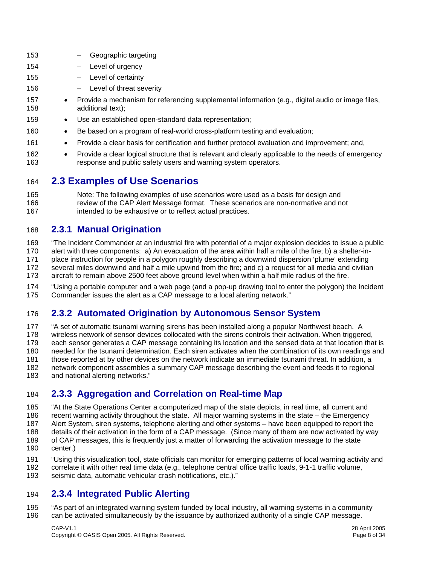| 153        |           | Geographic targeting                                                                                                                                                  |
|------------|-----------|-----------------------------------------------------------------------------------------------------------------------------------------------------------------------|
| 154        |           | Level of urgency                                                                                                                                                      |
| 155        |           | Level of certainty                                                                                                                                                    |
| 156        |           | Level of threat severity                                                                                                                                              |
| 157<br>158 | $\bullet$ | Provide a mechanism for referencing supplemental information (e.g., digital audio or image files,<br>additional text);                                                |
| 159        | $\bullet$ | Use an established open-standard data representation;                                                                                                                 |
| 160        | $\bullet$ | Be based on a program of real-world cross-platform testing and evaluation;                                                                                            |
| 161        | $\bullet$ | Provide a clear basis for certification and further protocol evaluation and improvement; and,                                                                         |
| 162<br>163 | $\bullet$ | Provide a clear logical structure that is relevant and clearly applicable to the needs of emergency<br>response and public safety users and warning system operators. |
| 164        |           | <b>2.3 Examples of Use Scenarios</b>                                                                                                                                  |

165 Note: The following examples of use scenarios were used as a basis for design and 166 review of the CAP Alert Message format. These scenarios are non-normative and not 167 intended to be exhaustive or to reflect actual practices.

#### 168 **2.3.1 Manual Origination**

169 "The Incident Commander at an industrial fire with potential of a major explosion decides to issue a public 170 alert with three components: a) An evacuation of the area within half a mile of the fire; b) a shelter-in-171 place instruction for people in a polygon roughly describing a downwind dispersion 'plume' extending 172 several miles downwind and half a mile upwind from the fire; and c) a request for all media and civilian 173 aircraft to remain above 2500 feet above ground level when within a half mile radius of the fire.

174 "Using a portable computer and a web page (and a pop-up drawing tool to enter the polygon) the Incident 175 Commander issues the alert as a CAP message to a local alerting network."

#### 176 **2.3.2 Automated Origination by Autonomous Sensor System**

177 "A set of automatic tsunami warning sirens has been installed along a popular Northwest beach. A 178 wireless network of sensor devices collocated with the sirens controls their activation. When triggered, 179 each sensor generates a CAP message containing its location and the sensed data at that location that is 180 needed for the tsunami determination. Each siren activates when the combination of its own readings and 181 those reported at by other devices on the network indicate an immediate tsunami threat. In addition, a 182 network component assembles a summary CAP message describing the event and feeds it to regional 183 and national alerting networks."

#### 184 **2.3.3 Aggregation and Correlation on Real-time Map**

185 "At the State Operations Center a computerized map of the state depicts, in real time, all current and

186 recent warning activity throughout the state. All major warning systems in the state – the Emergency

187 Alert System, siren systems, telephone alerting and other systems – have been equipped to report the 188 details of their activation in the form of a CAP message. (Since many of them are now activated by way

- 189 of CAP messages, this is frequently just a matter of forwarding the activation message to the state
- 190 center.)
- 191 "Using this visualization tool, state officials can monitor for emerging patterns of local warning activity and
- 192 correlate it with other real time data (e.g., telephone central office traffic loads, 9-1-1 traffic volume, 193 seismic data, automatic vehicular crash notifications, etc.)."

### 194 **2.3.4 Integrated Public Alerting**

195 "As part of an integrated warning system funded by local industry, all warning systems in a community 196 can be activated simultaneously by the issuance by authorized authority of a single CAP message.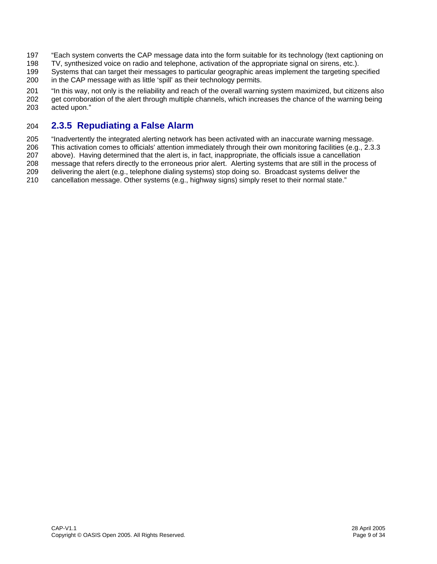- 197 "Each system converts the CAP message data into the form suitable for its technology (text captioning on
- 198 TV, synthesized voice on radio and telephone, activation of the appropriate signal on sirens, etc.).
- 199 Systems that can target their messages to particular geographic areas implement the targeting specified 200 in the CAP message with as little 'spill' as their technology permits.
- 201 "In this way, not only is the reliability and reach of the overall warning system maximized, but citizens also 202 get corroboration of the alert through multiple channels, which increases the chance of the warning being 203 acted upon."

### 204 **2.3.5 Repudiating a False Alarm**

205 "Inadvertently the integrated alerting network has been activated with an inaccurate warning message.

206 This activation comes to officials' attention immediately through their own monitoring facilities (e.g., 2.3.3

207 above). Having determined that the alert is, in fact, inappropriate, the officials issue a cancellation

208 message that refers directly to the erroneous prior alert. Alerting systems that are still in the process of

209 delivering the alert (e.g., telephone dialing systems) stop doing so. Broadcast systems deliver the 210 cancellation message. Other systems (e.g., highway signs) simply reset to their normal state."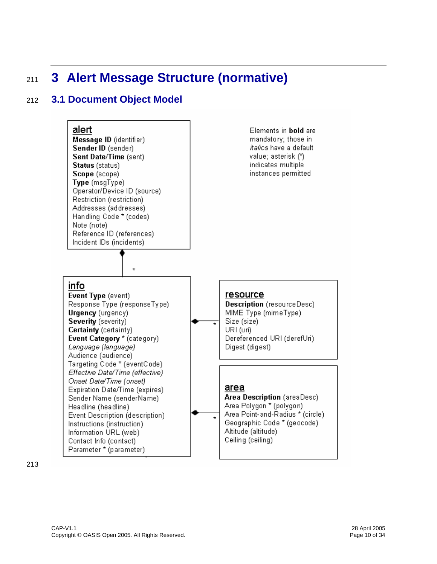# <sup>211</sup>**3 Alert Message Structure (normative)**

## 212 **3.1 Document Object Model**



213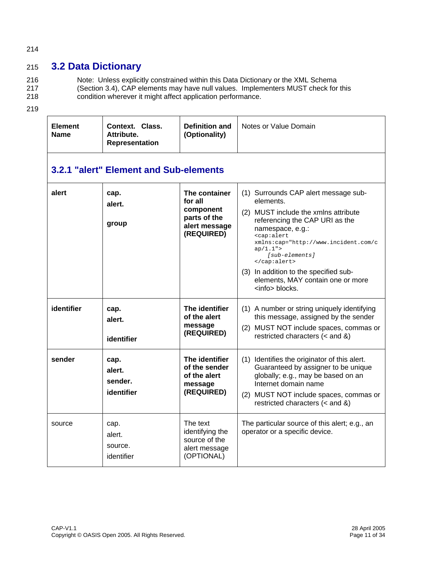#### 214

# 215 **3.2 Data Dictionary**

216 Note: Unless explicitly constrained within this Data Dictionary or the XML Schema 217 (Section 3.4), CAP elements may have null values. Implementers MUST check for this

- 218 condition wherever it might affect application performance.
- 219

| <b>Element</b><br><b>Name</b> | Context. Class.<br>Attribute.<br>Representation | Definition and<br>(Optionality)                                                      | Notes or Value Domain                                                                                                                                                                                                                                                                                                                                              |  |  |  |
|-------------------------------|-------------------------------------------------|--------------------------------------------------------------------------------------|--------------------------------------------------------------------------------------------------------------------------------------------------------------------------------------------------------------------------------------------------------------------------------------------------------------------------------------------------------------------|--|--|--|
|                               | 3.2.1 "alert" Element and Sub-elements          |                                                                                      |                                                                                                                                                                                                                                                                                                                                                                    |  |  |  |
| alert                         | cap.<br>alert.<br>group                         | The container<br>for all<br>component<br>parts of the<br>alert message<br>(REQUIRED) | (1) Surrounds CAP alert message sub-<br>elements.<br>(2) MUST include the xmlns attribute<br>referencing the CAP URI as the<br>namespace, e.g.:<br><cap:alert<br>xmlns:cap="http://www.incident.com/c<br/>ap/1.1"<br/>[sub-elements]<br/><br/>(3) In addition to the specified sub-<br/>elements, MAY contain one or more<br/><info> blocks.</info></cap:alert<br> |  |  |  |
| identifier                    | cap.<br>alert.<br>identifier                    | The identifier<br>of the alert<br>message<br>(REQUIRED)                              | (1) A number or string uniquely identifying<br>this message, assigned by the sender<br>(2) MUST NOT include spaces, commas or<br>restricted characters $(<$ and $\&$ )                                                                                                                                                                                             |  |  |  |
| sender                        | cap.<br>alert.<br>sender.<br>identifier         | The identifier<br>of the sender<br>of the alert<br>message<br>(REQUIRED)             | (1) Identifies the originator of this alert.<br>Guaranteed by assigner to be unique<br>globally; e.g., may be based on an<br>Internet domain name<br>(2) MUST NOT include spaces, commas or<br>restricted characters $(<$ and $\&$ )                                                                                                                               |  |  |  |
| source                        | cap.<br>alert.<br>source.<br>identifier         | The text<br>identifying the<br>source of the<br>alert message<br>(OPTIONAL)          | The particular source of this alert; e.g., an<br>operator or a specific device.                                                                                                                                                                                                                                                                                    |  |  |  |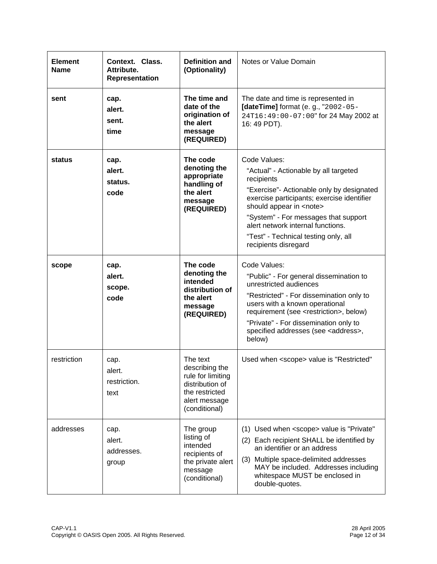| <b>Element</b><br><b>Name</b> | Context. Class.<br>Attribute.<br>Representation | <b>Definition and</b><br>(Optionality)                                                                                 | Notes or Value Domain                                                                                                                                                                                                                                                                                                          |
|-------------------------------|-------------------------------------------------|------------------------------------------------------------------------------------------------------------------------|--------------------------------------------------------------------------------------------------------------------------------------------------------------------------------------------------------------------------------------------------------------------------------------------------------------------------------|
| sent                          | cap.<br>alert.<br>sent.<br>time                 | The time and<br>date of the<br>origination of<br>the alert<br>message<br>(REQUIRED)                                    | The date and time is represented in<br>[dateTime] format (e. g., "2002-05-<br>24T16:49:00-07:00" for 24 May 2002 at<br>16: 49 PDT).                                                                                                                                                                                            |
| status                        | cap.                                            | The code                                                                                                               | Code Values:                                                                                                                                                                                                                                                                                                                   |
|                               | alert.<br>status.                               | denoting the<br>appropriate<br>handling of                                                                             | "Actual" - Actionable by all targeted<br>recipients                                                                                                                                                                                                                                                                            |
|                               | code                                            | the alert<br>message<br>(REQUIRED)                                                                                     | "Exercise"- Actionable only by designated<br>exercise participants; exercise identifier<br>should appear in <note></note>                                                                                                                                                                                                      |
|                               |                                                 |                                                                                                                        | "System" - For messages that support<br>alert network internal functions.                                                                                                                                                                                                                                                      |
|                               |                                                 |                                                                                                                        | "Test" - Technical testing only, all<br>recipients disregard                                                                                                                                                                                                                                                                   |
| scope                         | cap.<br>alert.<br>scope.<br>code                | The code<br>denoting the<br>intended<br>distribution of<br>the alert<br>message<br>(REQUIRED)                          | Code Values:<br>"Public" - For general dissemination to<br>unrestricted audiences<br>"Restricted" - For dissemination only to<br>users with a known operational<br>requirement (see <restriction>, below)<br/>"Private" - For dissemination only to<br/>specified addresses (see <address>,<br/>below)</address></restriction> |
| restriction                   | cap.<br>alert.<br>restriction.<br>text          | The text<br>describing the<br>rule for limiting<br>distribution of<br>the restricted<br>alert message<br>(conditional) | Used when <scope> value is "Restricted"</scope>                                                                                                                                                                                                                                                                                |
| addresses                     | cap.<br>alert.<br>addresses.<br>group           | The group<br>listing of<br>intended<br>recipients of<br>the private alert<br>message<br>(conditional)                  | (1) Used when <scope> value is "Private"<br/>(2) Each recipient SHALL be identified by<br/>an identifier or an address<br/>Multiple space-delimited addresses<br/>(3)<br/>MAY be included. Addresses including<br/>whitespace MUST be enclosed in<br/>double-quotes.</scope>                                                   |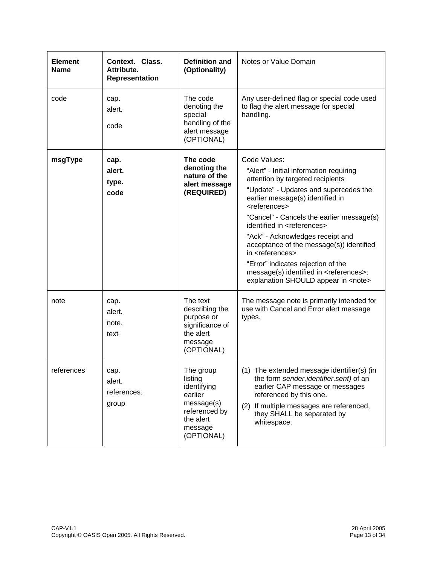| <b>Element</b><br><b>Name</b> | <b>Context. Class.</b><br>Attribute.<br>Representation | Definition and<br>(Optionality)                                                                                     | Notes or Value Domain                                                                                                                                                                                                                                                                                                                                                                                                                                                                                                                                            |
|-------------------------------|--------------------------------------------------------|---------------------------------------------------------------------------------------------------------------------|------------------------------------------------------------------------------------------------------------------------------------------------------------------------------------------------------------------------------------------------------------------------------------------------------------------------------------------------------------------------------------------------------------------------------------------------------------------------------------------------------------------------------------------------------------------|
| code                          | cap.<br>alert.<br>code                                 | The code<br>denoting the<br>special<br>handling of the<br>alert message<br>(OPTIONAL)                               | Any user-defined flag or special code used<br>to flag the alert message for special<br>handling.                                                                                                                                                                                                                                                                                                                                                                                                                                                                 |
| msgType                       | cap.<br>alert.<br>type.<br>code                        | The code<br>denoting the<br>nature of the<br>alert message<br>(REQUIRED)                                            | Code Values:<br>"Alert" - Initial information requiring<br>attention by targeted recipients<br>"Update" - Updates and supercedes the<br>earlier message(s) identified in<br><references><br/>"Cancel" - Cancels the earlier message(s)<br/>identified in <references><br/>"Ack" - Acknowledges receipt and<br/>acceptance of the message(s)) identified<br/>in <references><br/>"Error" indicates rejection of the<br/>message(s) identified in <references>;<br/>explanation SHOULD appear in <note></note></references></references></references></references> |
| note                          | cap.<br>alert.<br>note.<br>text                        | The text<br>describing the<br>purpose or<br>significance of<br>the alert<br>message<br>(OPTIONAL)                   | The message note is primarily intended for<br>use with Cancel and Error alert message<br>types.                                                                                                                                                                                                                                                                                                                                                                                                                                                                  |
| references                    | cap.<br>alert.<br>references.<br>group                 | The group<br>listing<br>identifying<br>earlier<br>message(s)<br>referenced by<br>the alert<br>message<br>(OPTIONAL) | (1) The extended message identifier(s) (in<br>the form sender, identifier, sent) of an<br>earlier CAP message or messages<br>referenced by this one.<br>(2) If multiple messages are referenced,<br>they SHALL be separated by<br>whitespace.                                                                                                                                                                                                                                                                                                                    |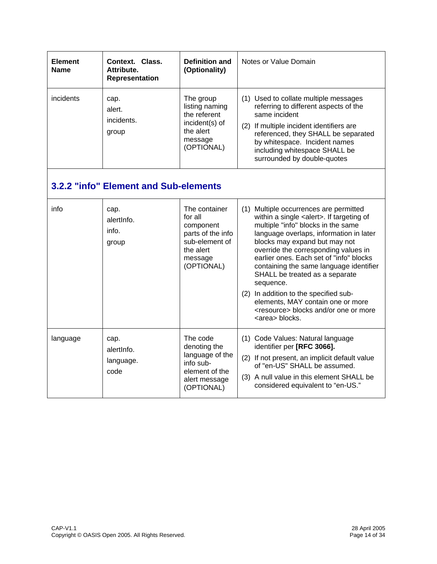| <b>Element</b><br><b>Name</b> | Context. Class.<br>Attribute.<br>Representation | <b>Definition and</b><br>(Optionality)                                                                             | Notes or Value Domain                                                                                                                                                                                                                                                                                                                                                                                                                                                                                                                                     |  |
|-------------------------------|-------------------------------------------------|--------------------------------------------------------------------------------------------------------------------|-----------------------------------------------------------------------------------------------------------------------------------------------------------------------------------------------------------------------------------------------------------------------------------------------------------------------------------------------------------------------------------------------------------------------------------------------------------------------------------------------------------------------------------------------------------|--|
| incidents                     | cap.<br>alert.<br>incidents.<br>group           | The group<br>listing naming<br>the referent<br>incident(s) of<br>the alert<br>message<br>(OPTIONAL)                | (1) Used to collate multiple messages<br>referring to different aspects of the<br>same incident<br>(2) If multiple incident identifiers are<br>referenced, they SHALL be separated<br>by whitespace. Incident names<br>including whitespace SHALL be<br>surrounded by double-quotes                                                                                                                                                                                                                                                                       |  |
|                               | 3.2.2 "info" Element and Sub-elements           |                                                                                                                    |                                                                                                                                                                                                                                                                                                                                                                                                                                                                                                                                                           |  |
| info                          | cap.<br>alertinfo.<br>info.<br>group            | The container<br>for all<br>component<br>parts of the info<br>sub-element of<br>the alert<br>message<br>(OPTIONAL) | (1) Multiple occurrences are permitted<br>within a single <alert>. If targeting of<br/>multiple "info" blocks in the same<br/>language overlaps, information in later<br/>blocks may expand but may not<br/>override the corresponding values in<br/>earlier ones. Each set of "info" blocks<br/>containing the same language identifier<br/>SHALL be treated as a separate<br/>sequence.<br/>(2) In addition to the specified sub-<br/>elements, MAY contain one or more<br/><resource> blocks and/or one or more<br/><area/> blocks.</resource></alert> |  |
| language                      | cap.<br>alertinfo.<br>language.<br>code         | The code<br>denoting the<br>language of the<br>info sub-<br>element of the<br>alert message<br>(OPTIONAL)          | (1) Code Values: Natural language<br>identifier per [RFC 3066].<br>(2) If not present, an implicit default value<br>of "en-US" SHALL be assumed.<br>(3) A null value in this element SHALL be<br>considered equivalent to "en-US."                                                                                                                                                                                                                                                                                                                        |  |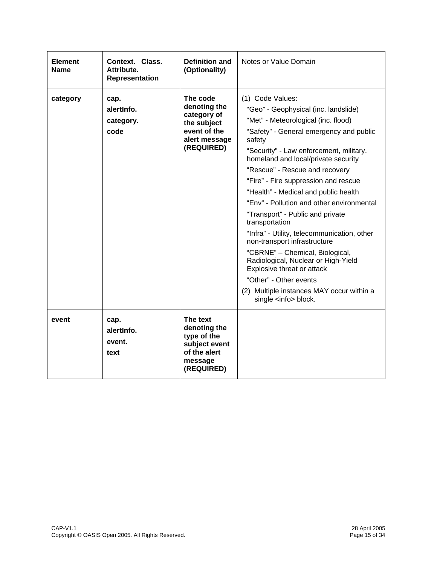| <b>Element</b><br><b>Name</b> | Context. Class.<br>Attribute.<br>Representation | <b>Definition and</b><br>(Optionality)                                                                | Notes or Value Domain                                                                                                                                                                                                                                                                                                                                                                                                                                                                                                                                                                                                                                                                                                                                    |
|-------------------------------|-------------------------------------------------|-------------------------------------------------------------------------------------------------------|----------------------------------------------------------------------------------------------------------------------------------------------------------------------------------------------------------------------------------------------------------------------------------------------------------------------------------------------------------------------------------------------------------------------------------------------------------------------------------------------------------------------------------------------------------------------------------------------------------------------------------------------------------------------------------------------------------------------------------------------------------|
| category                      | cap.<br>alertinfo.<br>category.<br>code         | The code<br>denoting the<br>category of<br>the subject<br>event of the<br>alert message<br>(REQUIRED) | (1) Code Values:<br>"Geo" - Geophysical (inc. landslide)<br>"Met" - Meteorological (inc. flood)<br>"Safety" - General emergency and public<br>safety<br>"Security" - Law enforcement, military,<br>homeland and local/private security<br>"Rescue" - Rescue and recovery<br>"Fire" - Fire suppression and rescue<br>"Health" - Medical and public health<br>"Env" - Pollution and other environmental<br>"Transport" - Public and private<br>transportation<br>"Infra" - Utility, telecommunication, other<br>non-transport infrastructure<br>"CBRNE" - Chemical, Biological,<br>Radiological, Nuclear or High-Yield<br>Explosive threat or attack<br>"Other" - Other events<br>(2) Multiple instances MAY occur within a<br>single <info> block.</info> |
| event                         | cap.<br>alertinfo.<br>event.<br>text            | The text<br>denoting the<br>type of the<br>subject event<br>of the alert<br>message<br>(REQUIRED)     |                                                                                                                                                                                                                                                                                                                                                                                                                                                                                                                                                                                                                                                                                                                                                          |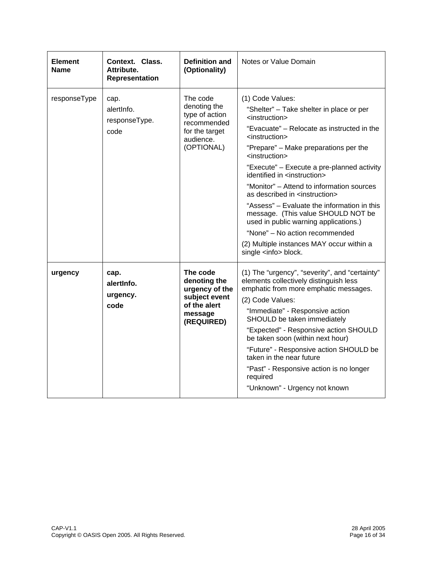| <b>Element</b><br>Name | Context. Class.<br>Attribute.<br>Representation | <b>Definition and</b><br>(Optionality)                                                                 | Notes or Value Domain                                                                                                                                                                                                                                                                                                                                                                                                                                                                                                                                                                                                                                                                             |
|------------------------|-------------------------------------------------|--------------------------------------------------------------------------------------------------------|---------------------------------------------------------------------------------------------------------------------------------------------------------------------------------------------------------------------------------------------------------------------------------------------------------------------------------------------------------------------------------------------------------------------------------------------------------------------------------------------------------------------------------------------------------------------------------------------------------------------------------------------------------------------------------------------------|
| responseType           | cap.<br>alertinfo.<br>responseType.<br>code     | The code<br>denoting the<br>type of action<br>recommended<br>for the target<br>audience.<br>(OPTIONAL) | (1) Code Values:<br>"Shelter" – Take shelter in place or per<br><instruction><br/>"Evacuate" - Relocate as instructed in the<br/><instruction><br/>"Prepare" - Make preparations per the<br/><instruction><br/>"Execute" - Execute a pre-planned activity<br/>identified in <instruction><br/>"Monitor" - Attend to information sources<br/>as described in <instruction><br/>"Assess" – Evaluate the information in this<br/>message. (This value SHOULD NOT be<br/>used in public warning applications.)<br/>"None" - No action recommended<br/>(2) Multiple instances MAY occur within a<br/>single <info> block.</info></instruction></instruction></instruction></instruction></instruction> |
| urgency                | cap.<br>alertinfo.<br>urgency.<br>code          | The code<br>denoting the<br>urgency of the<br>subject event<br>of the alert<br>message<br>(REQUIRED)   | (1) The "urgency", "severity", and "certainty"<br>elements collectively distinguish less<br>emphatic from more emphatic messages.<br>(2) Code Values:<br>"Immediate" - Responsive action<br>SHOULD be taken immediately<br>"Expected" - Responsive action SHOULD<br>be taken soon (within next hour)<br>"Future" - Responsive action SHOULD be<br>taken in the near future<br>"Past" - Responsive action is no longer<br>required<br>"Unknown" - Urgency not known                                                                                                                                                                                                                                |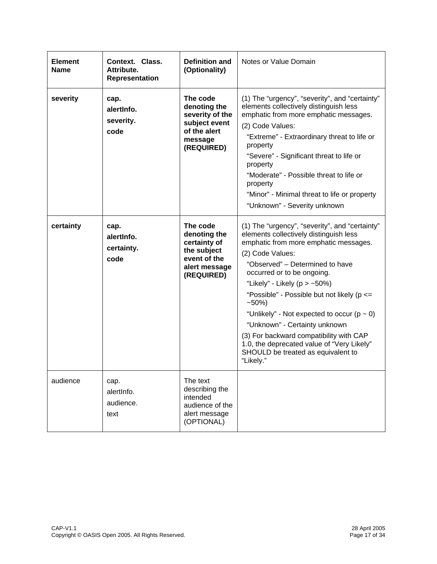| <b>Element</b><br><b>Name</b> | Context. Class.<br>Attribute.<br>Representation | <b>Definition and</b><br>(Optionality)                                                                 | Notes or Value Domain                                                                                                                                                                                                                                                                                                                                                                                                                                                                                                                                      |
|-------------------------------|-------------------------------------------------|--------------------------------------------------------------------------------------------------------|------------------------------------------------------------------------------------------------------------------------------------------------------------------------------------------------------------------------------------------------------------------------------------------------------------------------------------------------------------------------------------------------------------------------------------------------------------------------------------------------------------------------------------------------------------|
| severity                      | cap.<br>alertinfo.<br>severity.<br>code         | The code<br>denoting the<br>severity of the<br>subject event<br>of the alert<br>message<br>(REQUIRED)  | (1) The "urgency", "severity", and "certainty"<br>elements collectively distinguish less<br>emphatic from more emphatic messages.<br>(2) Code Values:<br>"Extreme" - Extraordinary threat to life or<br>property<br>"Severe" - Significant threat to life or<br>property<br>"Moderate" - Possible threat to life or<br>property<br>"Minor" - Minimal threat to life or property<br>"Unknown" - Severity unknown                                                                                                                                            |
| certainty                     | cap.<br>alertinfo.<br>certainty.<br>code        | The code<br>denoting the<br>certainty of<br>the subject<br>event of the<br>alert message<br>(REQUIRED) | (1) The "urgency", "severity", and "certainty"<br>elements collectively distinguish less<br>emphatic from more emphatic messages.<br>(2) Code Values:<br>"Observed" - Determined to have<br>occurred or to be ongoing.<br>"Likely" - Likely ( $p > -50\%$ )<br>"Possible" - Possible but not likely ( $p \leq$<br>$-50%$<br>"Unlikely" - Not expected to occur ( $p \sim 0$ )<br>"Unknown" - Certainty unknown<br>(3) For backward compatibility with CAP<br>1.0, the deprecated value of "Very Likely"<br>SHOULD be treated as equivalent to<br>"Likely." |
| audience                      | cap.<br>alertInfo.<br>audience.<br>text         | The text<br>describing the<br>intended<br>audience of the<br>alert message<br>(OPTIONAL)               |                                                                                                                                                                                                                                                                                                                                                                                                                                                                                                                                                            |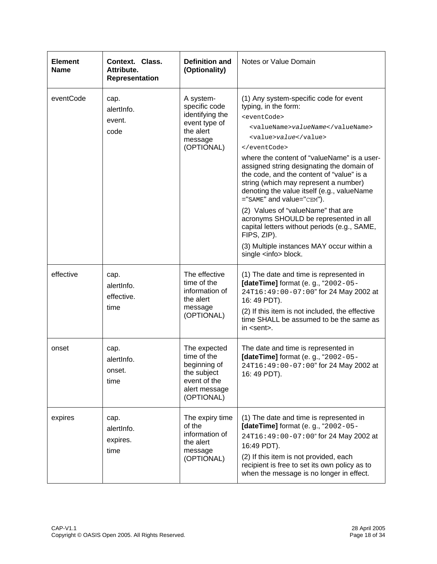| <b>Element</b><br><b>Name</b> | Context. Class.<br>Attribute.<br>Representation | <b>Definition and</b><br>(Optionality)                                                                    | Notes or Value Domain                                                                                                                                                                                                                                                                                                                                                                                                                                                                                                                                                                                                                               |
|-------------------------------|-------------------------------------------------|-----------------------------------------------------------------------------------------------------------|-----------------------------------------------------------------------------------------------------------------------------------------------------------------------------------------------------------------------------------------------------------------------------------------------------------------------------------------------------------------------------------------------------------------------------------------------------------------------------------------------------------------------------------------------------------------------------------------------------------------------------------------------------|
| eventCode                     | cap.<br>alertInfo.<br>event.<br>code            | A system-<br>specific code<br>identifying the<br>event type of<br>the alert<br>message<br>(OPTIONAL)      | (1) Any system-specific code for event<br>typing, in the form:<br><eventcode><br/><valuename>valueName</valuename><br/><value>value</value><br/></eventcode><br>where the content of "valueName" is a user-<br>assigned string designating the domain of<br>the code, and the content of "value" is a<br>string (which may represent a number)<br>denoting the value itself (e.g., valueName<br>="SAME" and value="CEM").<br>(2) Values of "valueName" that are<br>acronyms SHOULD be represented in all<br>capital letters without periods (e.g., SAME,<br>FIPS, ZIP).<br>(3) Multiple instances MAY occur within a<br>single <info> block.</info> |
| effective                     | cap.<br>alertInfo.<br>effective.<br>time        | The effective<br>time of the<br>information of<br>the alert<br>message<br>(OPTIONAL)                      | (1) The date and time is represented in<br>[dateTime] format (e. g., "2002-05-<br>24T16:49:00-07:00" for 24 May 2002 at<br>16: 49 PDT).<br>(2) If this item is not included, the effective<br>time SHALL be assumed to be the same as<br>in <sent>.</sent>                                                                                                                                                                                                                                                                                                                                                                                          |
| onset                         | cap.<br>alertInfo.<br>onset.<br>time            | The expected<br>time of the<br>beginning of<br>the subject<br>event of the<br>alert message<br>(OPTIONAL) | The date and time is represented in<br>[dateTime] format (e. g., "2002-05-<br>24T16:49:00-07:00" for 24 May 2002 at<br>16: 49 PDT).                                                                                                                                                                                                                                                                                                                                                                                                                                                                                                                 |
| expires                       | cap.<br>alertinfo.<br>expires.<br>time          | The expiry time<br>of the<br>information of<br>the alert<br>message<br>(OPTIONAL)                         | (1) The date and time is represented in<br>[dateTime] format (e. g., "2002-05-<br>24T16:49:00-07:00" for 24 May 2002 at<br>16:49 PDT).<br>(2) If this item is not provided, each<br>recipient is free to set its own policy as to<br>when the message is no longer in effect.                                                                                                                                                                                                                                                                                                                                                                       |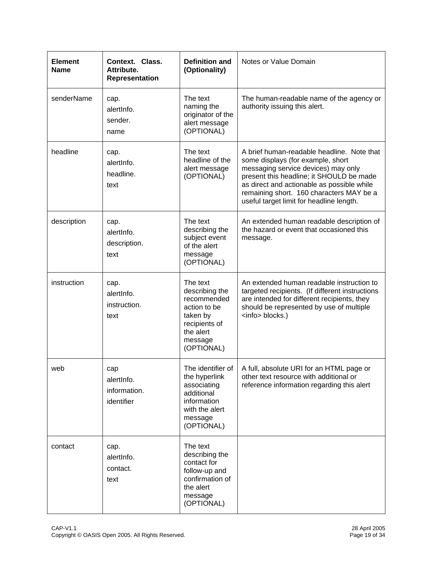| <b>Element</b><br>Name | Context. Class.<br>Attribute.<br>Representation | <b>Definition and</b><br>(Optionality)                                                                                       | Notes or Value Domain                                                                                                                                                                                                                                                                                    |
|------------------------|-------------------------------------------------|------------------------------------------------------------------------------------------------------------------------------|----------------------------------------------------------------------------------------------------------------------------------------------------------------------------------------------------------------------------------------------------------------------------------------------------------|
| senderName             | cap.<br>alertInfo.<br>sender.<br>name           | The text<br>naming the<br>originator of the<br>alert message<br>(OPTIONAL)                                                   | The human-readable name of the agency or<br>authority issuing this alert.                                                                                                                                                                                                                                |
| headline               | cap.<br>alertinfo.<br>headline.<br>text         | The text<br>headline of the<br>alert message<br>(OPTIONAL)                                                                   | A brief human-readable headline. Note that<br>some displays (for example, short<br>messaging service devices) may only<br>present this headline; it SHOULD be made<br>as direct and actionable as possible while<br>remaining short. 160 characters MAY be a<br>useful target limit for headline length. |
| description            | cap.<br>alertInfo.<br>description.<br>text      | The text<br>describing the<br>subject event<br>of the alert<br>message<br>(OPTIONAL)                                         | An extended human readable description of<br>the hazard or event that occasioned this<br>message.                                                                                                                                                                                                        |
| instruction            | cap.<br>alertInfo.<br>instruction.<br>text      | The text<br>describing the<br>recommended<br>action to be<br>taken by<br>recipients of<br>the alert<br>message<br>(OPTIONAL) | An extended human readable instruction to<br>targeted recipients. (If different instructions<br>are intended for different recipients, they<br>should be represented by use of multiple<br><info> blocks.)</info>                                                                                        |
| web                    | cap<br>alertInfo.<br>information.<br>identifier | the hyperlink<br>associating<br>additional<br>information<br>with the alert<br>message<br>(OPTIONAL)                         | The identifier of   A full, absolute URI for an HTML page or<br>other text resource with additional or<br>reference information regarding this alert                                                                                                                                                     |
| contact                | cap.<br>alertInfo.<br>contact.<br>text          | The text<br>describing the<br>contact for<br>follow-up and<br>confirmation of<br>the alert<br>message<br>(OPTIONAL)          |                                                                                                                                                                                                                                                                                                          |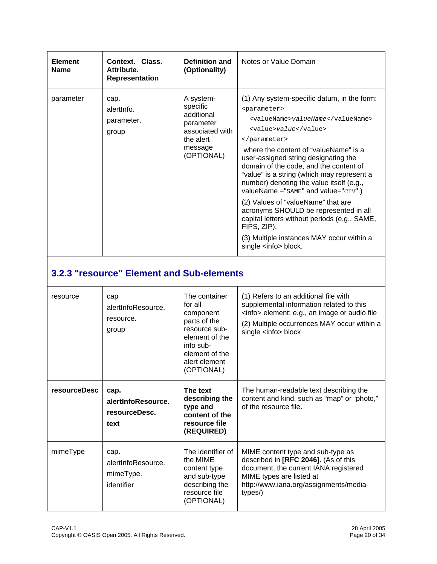| <b>Element</b><br><b>Name</b> | Context. Class.<br>Attribute.<br>Representation | Definition and<br>(Optionality)                                                                           | Notes or Value Domain                                                                                                                                                                                                                                                                                                                                                                                                                                                                                                                                                                                                                  |
|-------------------------------|-------------------------------------------------|-----------------------------------------------------------------------------------------------------------|----------------------------------------------------------------------------------------------------------------------------------------------------------------------------------------------------------------------------------------------------------------------------------------------------------------------------------------------------------------------------------------------------------------------------------------------------------------------------------------------------------------------------------------------------------------------------------------------------------------------------------------|
| parameter                     | cap.<br>alertinfo.<br>parameter.<br>group       | A system-<br>specific<br>additional<br>parameter<br>associated with<br>the alert<br>message<br>(OPTIONAL) | (1) Any system-specific datum, in the form:<br><parameter><br/><valuename>valueName</valuename><br/><value>value</value><br/></parameter><br>where the content of "valueName" is a<br>user-assigned string designating the<br>domain of the code, and the content of<br>"value" is a string (which may represent a<br>number) denoting the value itself (e.g.,<br>valueName =" $SAME"$ and value=" $CIV".$ )<br>(2) Values of "valueName" that are<br>acronyms SHOULD be represented in all<br>capital letters without periods (e.g., SAME,<br>FIPS, ZIP).<br>(3) Multiple instances MAY occur within a<br>single <info> block.</info> |

# **3.2.3 "resource" Element and Sub-elements**

| resource            | cap<br>alertInfoResource.<br>resource.<br>group       | The container<br>for all<br>component<br>parts of the<br>resource sub-<br>element of the<br>info sub-<br>element of the<br>alert element<br>(OPTIONAL) | (1) Refers to an additional file with<br>supplemental information related to this<br><info> element; e.g., an image or audio file<br/>(2) Multiple occurrences MAY occur within a<br/>single <info> block</info></info> |
|---------------------|-------------------------------------------------------|--------------------------------------------------------------------------------------------------------------------------------------------------------|-------------------------------------------------------------------------------------------------------------------------------------------------------------------------------------------------------------------------|
| <b>resourceDesc</b> | cap.<br>alertInfoResource.<br>resourceDesc.<br>text   | The text<br>describing the<br>type and<br>content of the<br>resource file<br>(REQUIRED)                                                                | The human-readable text describing the<br>content and kind, such as "map" or "photo,"<br>of the resource file.                                                                                                          |
| mimeType            | cap.<br>alertInfoResource.<br>mimeType.<br>identifier | The identifier of<br>the MIME<br>content type<br>and sub-type<br>describing the<br>resource file<br>(OPTIONAL)                                         | MIME content type and sub-type as<br>described in [RFC 2046]. (As of this<br>document, the current IANA registered<br>MIME types are listed at<br>http://www.iana.org/assignments/media-<br>types/)                     |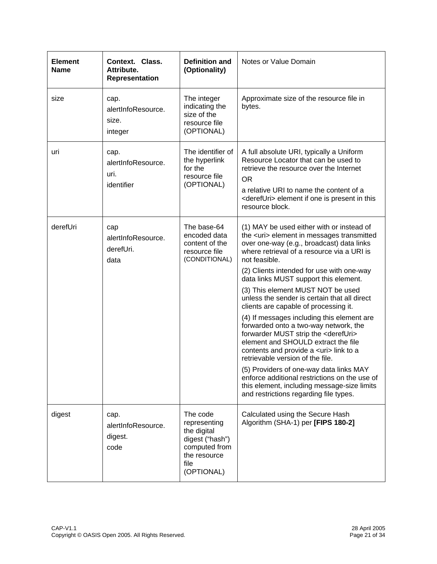| <b>Element</b><br><b>Name</b> | Context. Class.<br>Attribute.<br>Representation                                                                                  | <b>Definition and</b><br>(Optionality)                                                                            | Notes or Value Domain                                                                                                                                                                                                                                                                                                                                                                                                                                                                                                                                                                                                                                                                                                                                                                                                                                                                                   |
|-------------------------------|----------------------------------------------------------------------------------------------------------------------------------|-------------------------------------------------------------------------------------------------------------------|---------------------------------------------------------------------------------------------------------------------------------------------------------------------------------------------------------------------------------------------------------------------------------------------------------------------------------------------------------------------------------------------------------------------------------------------------------------------------------------------------------------------------------------------------------------------------------------------------------------------------------------------------------------------------------------------------------------------------------------------------------------------------------------------------------------------------------------------------------------------------------------------------------|
| size                          | cap.<br>alertInfoResource.<br>size.<br>integer                                                                                   | The integer<br>indicating the<br>size of the<br>resource file<br>(OPTIONAL)                                       | Approximate size of the resource file in<br>bytes.                                                                                                                                                                                                                                                                                                                                                                                                                                                                                                                                                                                                                                                                                                                                                                                                                                                      |
| uri                           | The identifier of<br>cap.<br>the hyperlink<br>alertInfoResource.<br>for the<br>uri.<br>resource file<br>(OPTIONAL)<br>identifier |                                                                                                                   | A full absolute URI, typically a Uniform<br>Resource Locator that can be used to<br>retrieve the resource over the Internet<br><b>OR</b><br>a relative URI to name the content of a<br><derefuri> element if one is present in this<br/>resource block.</derefuri>                                                                                                                                                                                                                                                                                                                                                                                                                                                                                                                                                                                                                                      |
| derefUri                      | cap<br>alertInfoResource.<br>derefUri.<br>data                                                                                   | The base-64<br>encoded data<br>content of the<br>resource file<br>(CONDITIONAL)                                   | (1) MAY be used either with or instead of<br>the <uri> element in messages transmitted<br/>over one-way (e.g., broadcast) data links<br/>where retrieval of a resource via a URI is<br/>not feasible.<br/>(2) Clients intended for use with one-way<br/>data links MUST support this element.<br/>(3) This element MUST NOT be used<br/>unless the sender is certain that all direct<br/>clients are capable of processing it.<br/>(4) If messages including this element are<br/>forwarded onto a two-way network, the<br/>forwarder MUST strip the <derefuri><br/>element and SHOULD extract the file<br/>contents and provide a <uri> link to a<br/>retrievable version of the file.<br/>(5) Providers of one-way data links MAY<br/>enforce additional restrictions on the use of<br/>this element, including message-size limits<br/>and restrictions regarding file types.</uri></derefuri></uri> |
| digest                        | cap.<br>alertInfoResource.<br>digest.<br>code                                                                                    | The code<br>representing<br>the digital<br>digest ("hash")<br>computed from<br>the resource<br>file<br>(OPTIONAL) | Calculated using the Secure Hash<br>Algorithm (SHA-1) per [FIPS 180-2]                                                                                                                                                                                                                                                                                                                                                                                                                                                                                                                                                                                                                                                                                                                                                                                                                                  |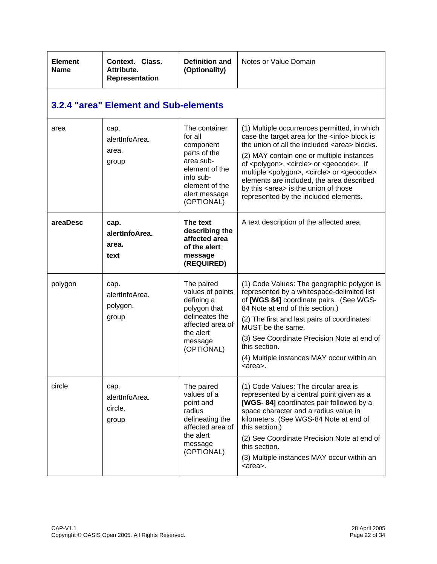| <b>Element</b><br><b>Name</b> | Context. Class.<br>Attribute.<br>Representation | <b>Definition and</b><br>(Optionality)                                                                                                             | Notes or Value Domain                                                                                                                                                                                                                                                                                                                                                                                                                                                                     |
|-------------------------------|-------------------------------------------------|----------------------------------------------------------------------------------------------------------------------------------------------------|-------------------------------------------------------------------------------------------------------------------------------------------------------------------------------------------------------------------------------------------------------------------------------------------------------------------------------------------------------------------------------------------------------------------------------------------------------------------------------------------|
|                               | 3.2.4 "area" Element and Sub-elements           |                                                                                                                                                    |                                                                                                                                                                                                                                                                                                                                                                                                                                                                                           |
| area                          | cap.<br>alertInfoArea.<br>area.<br>group        | The container<br>for all<br>component<br>parts of the<br>area sub-<br>element of the<br>info sub-<br>element of the<br>alert message<br>(OPTIONAL) | (1) Multiple occurrences permitted, in which<br>case the target area for the <info> block is<br/>the union of all the included <area/> blocks.<br/>(2) MAY contain one or multiple instances<br/>of <polygon>, <circle> or <geocode>. If<br/>multiple <polygon>, <circle> or <geocode><br/>elements are included, the area described<br/>by this <area/> is the union of those<br/>represented by the included elements.</geocode></circle></polygon></geocode></circle></polygon></info> |
| areaDesc                      | cap.<br>alertInfoArea.<br>area.<br>text         | The text<br>describing the<br>affected area<br>of the alert<br>message<br>(REQUIRED)                                                               | A text description of the affected area.                                                                                                                                                                                                                                                                                                                                                                                                                                                  |
| polygon                       | cap.<br>alertInfoArea.<br>polygon.<br>group     | The paired<br>values of points<br>defining a<br>polygon that<br>delineates the<br>affected area of<br>the alert<br>message<br>(OPTIONAL)           | (1) Code Values: The geographic polygon is<br>represented by a whitespace-delimited list<br>of [WGS 84] coordinate pairs. (See WGS-<br>84 Note at end of this section.)<br>(2) The first and last pairs of coordinates<br>MUST be the same.<br>(3) See Coordinate Precision Note at end of<br>this section.<br>(4) Multiple instances MAY occur within an<br><area/> .                                                                                                                    |
| circle                        | cap.<br>alertInfoArea.<br>circle.<br>group      | The paired<br>values of a<br>point and<br>radius<br>delineating the<br>affected area of<br>the alert<br>message<br>(OPTIONAL)                      | (1) Code Values: The circular area is<br>represented by a central point given as a<br>[WGS-84] coordinates pair followed by a<br>space character and a radius value in<br>kilometers. (See WGS-84 Note at end of<br>this section.)<br>(2) See Coordinate Precision Note at end of<br>this section.<br>(3) Multiple instances MAY occur within an<br><area/> .                                                                                                                             |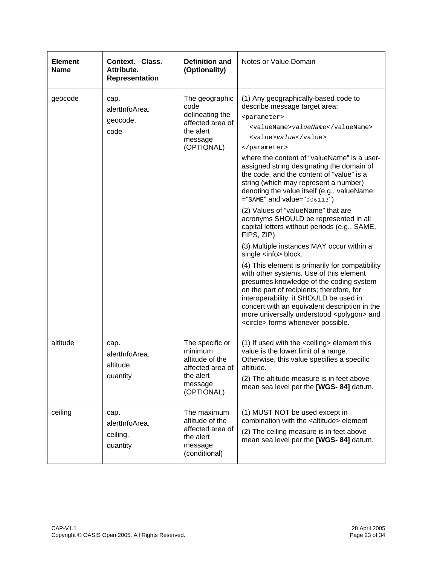| <b>Element</b><br>Name | Context. Class.<br>Attribute.<br>Representation | <b>Definition and</b><br>(Optionality)                                                                  | Notes or Value Domain                                                                                                                                                                                                                                                                                                                                                                                                                                                                                                                                                                                                                                                                                                                                                                                                                                                                                                                                                                                                                                          |
|------------------------|-------------------------------------------------|---------------------------------------------------------------------------------------------------------|----------------------------------------------------------------------------------------------------------------------------------------------------------------------------------------------------------------------------------------------------------------------------------------------------------------------------------------------------------------------------------------------------------------------------------------------------------------------------------------------------------------------------------------------------------------------------------------------------------------------------------------------------------------------------------------------------------------------------------------------------------------------------------------------------------------------------------------------------------------------------------------------------------------------------------------------------------------------------------------------------------------------------------------------------------------|
| geocode                | cap.<br>alertInfoArea.<br>geocode.<br>code      | The geographic<br>code<br>delineating the<br>affected area of<br>the alert<br>message<br>(OPTIONAL)     | (1) Any geographically-based code to<br>describe message target area:<br><parameter><br/><valuename>valueName</valuename><br/><value>value</value><br/></parameter><br>where the content of "valueName" is a user-<br>assigned string designating the domain of<br>the code, and the content of "value" is a<br>string (which may represent a number)<br>denoting the value itself (e.g., valueName<br>$=$ "SAME" and value="006113").<br>(2) Values of "valueName" that are<br>acronyms SHOULD be represented in all<br>capital letters without periods (e.g., SAME,<br>FIPS, ZIP).<br>(3) Multiple instances MAY occur within a<br>single <info> block.<br/>(4) This element is primarily for compatibility<br/>with other systems. Use of this element<br/>presumes knowledge of the coding system<br/>on the part of recipients; therefore, for<br/>interoperability, it SHOULD be used in<br/>concert with an equivalent description in the<br/>more universally understood <polygon> and<br/><circle> forms whenever possible.</circle></polygon></info> |
| altitude               | cap.<br>alertInfoArea.<br>altitude.<br>quantity | The specific or<br>minimum<br>altitude of the<br>affected area of<br>the alert<br>message<br>(OPTIONAL) | (1) If used with the <ceiling> element this<br/>value is the lower limit of a range.<br/>Otherwise, this value specifies a specific<br/>altitude.<br/>(2) The altitude measure is in feet above<br/>mean sea level per the [WGS- 84] datum.</ceiling>                                                                                                                                                                                                                                                                                                                                                                                                                                                                                                                                                                                                                                                                                                                                                                                                          |
| ceiling                | cap.<br>alertInfoArea.<br>ceiling.<br>quantity  | The maximum<br>altitude of the<br>affected area of<br>the alert<br>message<br>(conditional)             | (1) MUST NOT be used except in<br>combination with the <altitude> element<br/>(2) The ceiling measure is in feet above<br/>mean sea level per the [WGS- 84] datum.</altitude>                                                                                                                                                                                                                                                                                                                                                                                                                                                                                                                                                                                                                                                                                                                                                                                                                                                                                  |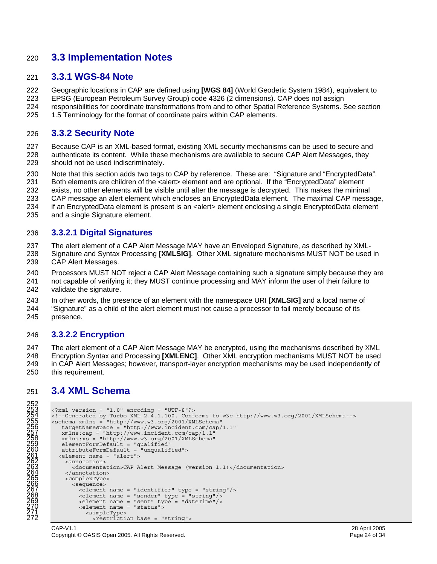### 220 **3.3 Implementation Notes**

#### 221 **3.3.1 WGS-84 Note**

222 Geographic locations in CAP are defined using **[WGS 84]** (World Geodetic System 1984), equivalent to 223 EPSG (European Petroleum Survey Group) code 4326 (2 dimensions). CAP does not assign 224 responsibilities for coordinate transformations from and to other Spatial Reference Systems. See section

225 1.5 Terminology for the format of coordinate pairs within CAP elements.

#### 226 **3.3.2 Security Note**

- 227 Because CAP is an XML-based format, existing XML security mechanisms can be used to secure and 228 authenticate its content. While these mechanisms are available to secure CAP Alert Messages, they 229 should not be used indiscriminately.
- 230 Note that this section adds two tags to CAP by reference. These are: "Signature and "EncryptedData".
- 231 Both elements are children of the <alert> element and are optional. If the "EncryptedData" element
- 232 exists, no other elements will be visible until after the message is decrypted. This makes the minimal
- 233 CAP message an alert element which encloses an EncryptedData element. The maximal CAP message,
- 234 if an EncryptedData element is present is an <alert> element enclosing a single EncryptedData element
- 235 and a single Signature element.

#### 236 **3.3.2.1 Digital Signatures**

237 The alert element of a CAP Alert Message MAY have an Enveloped Signature, as described by XML-

- 238 Signature and Syntax Processing **[XMLSIG]**. Other XML signature mechanisms MUST NOT be used in 239 CAP Alert Messages.
- 240 Processors MUST NOT reject a CAP Alert Message containing such a signature simply because they are 241 not capable of verifying it; they MUST continue processing and MAY inform the user of their failure to 242 validate the signature.
- 243 In other words, the presence of an element with the namespace URI **[XMLSIG]** and a local name of
- 244 "Signature" as a child of the alert element must not cause a processor to fail merely because of its 245 presence.

#### 246 **3.3.2.2 Encryption**

247 The alert element of a CAP Alert Message MAY be encrypted, using the mechanisms described by XML 248 Encryption Syntax and Processing **[XMLENC]**. Other XML encryption mechanisms MUST NOT be used 249 in CAP Alert Messages; however, transport-layer encryption mechanisms may be used independently of 250 this requirement.

# 251 **3.4 XML Schema**

```
252 
       \langle?xml version = "1.0" encoding = "UTF-8"?>
254 <!--Generated by Turbo XML 2.4.1.100. Conforms to w3c http://www.w3.org/2001/XMLSchema-->
```

```
255 <schema xmlns = "http://www.w3.org/2001/XMLSchema" <schema xmlns = "http://www.w3.org/2001/XMLSchema" <br/>targetNamespace = "http://www.incident.com/cap/1.1"
              257 xmlns:cap = "http://www.incident.com/cap/1.1" 
258 xmlns:xs = "http://www.w3.org/2001/XMLSchema" 
259 elementFormDefault = "qualified" 
              260 attributeFormDefault = "unqualified"> 
             261 <element name = "alert"> 
               262 <annotation> 
                   263 <documentation>CAP Alert Message (version 1.1)</documentation> 
               </annotation>
               <complexType>
                  266 <sequence> 
                     267 <element name = "identifier" type = "string"/> 
                     268<element name = "sender" type = "string"/> 269 <element name = "sent" type = "dateTime"/> 
                     <element name = "status">
                        271 <simpleType> 
                           <restriction base = "string">
```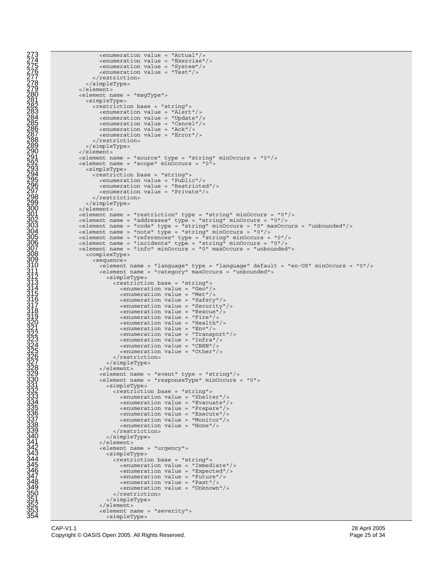```
273<br>
2774<br>
2774<br>
2774<br>
2774<br>
2774<br>
2774<br>
2774<br>
2774<br>
2774<br>
2774<br>
2774<br>
2774<br>
2774<br>
2774<br>
2774<br>
2774<br>
2774<br>
2774<br>
2774<br>
2774<br>
2774<br>
2774<br>
2774<br>
2774<br>
2774<br>
2774<br>
2774<br>

                             <enumeration value = "Exercise"/>
                             275 <enumeration value = "System"/> 
                             \epsilon <enumeration value = "Test"/>
                          </restriction>
                    278</simpleType> 279 </element> 
                    280 <element name = "msgType"> 
                       281 <simpleType> 
                          <restriction base = "string">
                             <enumeration value = "Alert"/>
                             <enumeration value = "Update"/>
                             <enumeration value = "Cancel"/>
                             <enumeration value = "Ack"/>
                             <enumeration value = "Error"/>
                          </restriction>
                       </simpleType>
                    \langleelement>
                    \epsilon-element name = "source" type = "string" minOccurs = "0"/>
                    \epsilonelement name = "scope" minOccurs = "0">
                       293 <simpleType> 
                          <restriction base = "string">
                             295 <enumeration value = "Public"/> 
                             296 <enumeration value = "Restricted"/> 
                             <enumeration value = "Private"/>
                       </restriction><br></simpleType>
299</simpleType> 300 </element> 301 <element name = "restriction" type = "string" minOccurs = "0"/> 
302 <element name = "addresses" type = "string" minOccurs = "0"/>
                    303<element name = "code" type = "string" minOccurs = "0" maxOccurs = "unbounded"/> 304 <element name = "note" type = "string" minOccurs = "0"/> 
305 <element name = "references" type = "string" minOccurs = "0"/><br>306 <element name = "incidents" type = "string" minOccurs = "0"/><br>307 <element name = "info" minOccurs = "0" maxOccurs = "unbounded">
                       308 <complexType> 
                          309<sequence> 310 <element name = "language" type = "language" default = "en-US" minOccurs = "0"/> 
                             311 <element name = "category" maxOccurs = "unbounded"> 
                                  <restriction base = "string">
                                     314 <enumeration value = "Geo"/> 
                                     315 <enumeration value = "Met"/> 
                                     316 <enumeration value = "Safety"/> 
                                     317 <enumeration value = "Security"/> 
                                     318 <enumeration value = "Rescue"/> 
                                     319 <enumeration value = "Fire"/> 
                                     320 <enumeration value = "Health"/> 
                                     321 <enumeration value = "Env"/> 
                                     322 <enumeration value = "Transport"/> 
                                     <enumeration value = "Infra"/>
                                     324 <enumeration value = "CBRN"/> 
                                     325 <enumeration value = "Other"/> 
                                  </restriction>
                               327 </simpleType> 
                             \alpha/element>
                             \epsilonelement name = "event" type = "string"/>
                             330<element name = "responseType" minOccurs = "0"> 331 <simpleType> 
                                  332 <restriction base = "string"> 
                                     <enumeration value = "Evacuate"/>
                                     335 <enumeration value = "Prepare"/> 
                                     336<enumeration value = "Execute"/> 337 <enumeration value = "Monitor"/> 
                                     338 <enumeration value = "None"/> 
                               339</restriction> 340 </simpleType> 
                             341 </element> 
                             342<element name = "urgency"> 343 <simpleType> 
                                  <restriction base = "string">
                                     345 <enumeration value = "Immediate"/> 
                                     346 <enumeration value = "Expected"/> 
                                     347 <enumeration value = "Future"/> 
                                     348 <enumeration value = "Past"/> 
                                     349 <enumeration value = "Unknown"/> 
                                  </restriction>
                                351 </simpleType> 
                             352 </element> 
                             353 <element name = "severity">
```
354 <simpleType>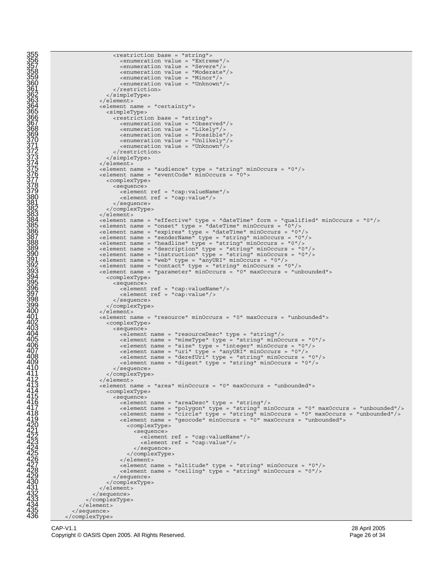```
355 <restriction base = "string"> 
                                        356 <enumeration value = "Extreme"/> 
                                        357 <enumeration value = "Severe"/> 
                                        358 <enumeration value = "Moderate"/> 
                                        359 <enumeration value = "Minor"/> 
                                     360<enumeration value = "Unknown"/> 361 </restriction> 
                                  362 </simpleType> 
                               363 </element> 
                               364 <element name = "certainty"> 
                                  365 <simpleType> 
                                    <restriction base = "string">
                                        367 <enumeration value = "Observed"/> 
                                        368 <enumeration value = "Likely"/> 
                                        369 <enumeration value = "Possible"/> 
                                       370 <enumeration value = "Unlikely"/> 
                                        <enumeration value = "Unknown"/>
                                     </restriction>
                                  373 </simpleType> 
                               \langleelement>
                               \epsilonelement name = "audience" type = "string" minOccurs = "0"/>
                               \epsilonelement name = "eventCode" minOccurs = "0">
                                  <complexType>
                                    378 <sequence> 
                                       379 <element ref = "cap:valueName"/> 
                                        \epsilonelement ref = "cap:value"/>
381</sequence> 382 </complexType> 383 </element> 
                               s/elements<br>
s/elements = "effective" type = "dateTime" form = "qualified" minOccurs = "0"/>
                               385<element name = "onset" type = "dateTime" minOccurs = "0"/> 386 <element name = "expires" type = "dateTime" minOccurs = "0"/> 
387 <element name = "senderName" type = "string" minOccurs = "0"/> 
388<element name = "headline" type = "string" minOccurs = "0"/> 389 <element name = "description" type = "string" minOccurs = "0"/> 
390 \leq \leq \leq \leq \leq \leq \leq \leq \leq \leq \leq \leq \leq \leq \leq \leq \leq \leq \leq \leq \leq \leq \leq \leq \leq \leq \leq \leq \leq \leq \leq \leq \leq \leq \leq \leq391<element name = "web" type = "anyURI" minOccurs = "0"/> 392 <element name = "contact" type = "string" minOccurs = "0"/> 
393 \leq \leq \leq \leq \leq \leq \leq \leq \leq \leq \leq \leq \leq \leq \leq \leq \leq \leq \leq \leq \leq \leq \leq \leq \leq \leq \leq \leq \leq \leq \leq \leq \leq \leq \leq \leq394<complexType> 395 <sequence> 
                                       396 <element ref = "cap:valueName"/> 
                                        397 <element ref = "cap:value"/> 
                                     398 </sequence> 
                                  399 </complexType> 
                               </element>
                               401 <element name = "resource" minOccurs = "0" maxOccurs = "unbounded"> 
                                  402 <complexType> 
                                    403 <sequence> 
                                        404 <element name = "resourceDesc" type = "string"/> 
                                       405 <element name = "mimeType" type = "string" minOccurs = "0"/> 
                                        \epsilon-element name = "size" type = "integer" minOccurs = "0"/>
                                       \epsilonelement name = "uri" type = "anyURI" minOccurs = "0"/>
408 <element name = "derefUri" type = "string" minOccurs = "0"/><br>409 <element name = "digest" type = "string" minOccurs = "0"/>
                                     410 </sequence> 
                               </complexType></clement>
                               412</element> 413 <element name = "area" minOccurs = "0" maxOccurs = "unbounded"> 
                                  <complexType>
                                     415<sequence> 416 <element name = "areaDesc" type = "string"/> 
                                       \epsilon-element name = "polygon" type = "string" minOccurs = "0" maxOccurs = "unbounded"/>
                                       \text{element name} = \text{Fourly} = \text{string} \text{ minoccurs} = \text{Our maxOccurs} = \text{unbounded}<br>
\text{element name} = \text{``geocode''} \text{ minOccurs} = \text{``unbounded''} > \text{element name} = \text{``geocode''} \text{ minloc curs} = \text{``unbounded''} > \text{...}420 <complexType> 
                                              421<sequence> 422 <element ref = "cap:valueName"/> 
                                                 423 <element ref = "cap:value"/> 
                                           424</sequence> 425 </complexType> 
                                        </element>
427 <element name = "altitude" type = "string" minOccurs = "0"/> 
428 <element name = "ceiling" type = "string" minOccurs = "0"/> 
                                     429 </sequence> 
                                  430 </complexType> 
                               \alpha/element>
                            432 </sequence> 
                         433 </complexType> 
                      </element>
                   </sequence>
```
</complexType>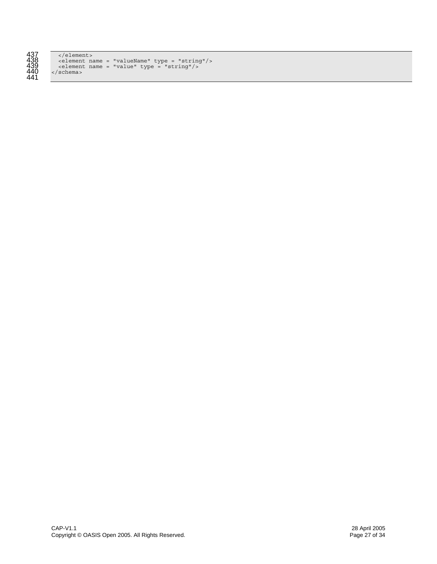

| 437 | $\langle$ /element>                                           |
|-----|---------------------------------------------------------------|
| 438 | $\epsilon$ <element name="valueName" type="string"></element> |
| 439 | $\epsilon$ element name = "value" type = "string"/>           |
| 440 | $\langle$ schema>                                             |
| 111 |                                                               |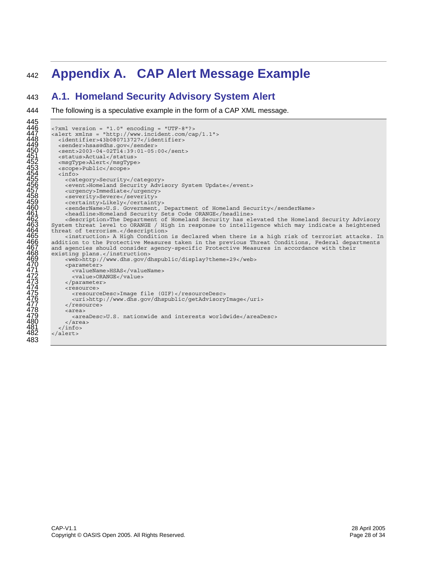# <sup>442</sup>**Appendix A. CAP Alert Message Example**

### 443 **A.1. Homeland Security Advisory System Alert**

```
445 
\frac{446}{10} <?xml version = "1.0" encoding = "UTF-8"?>
447 <alert xmlns = "http://www.incident.com/cap/1.1"> <alert xmlns = "http://www.incident.com/cap/1.1">
          <identifier>43b080713727</identifier><sender>hsas@dhs.gov</sender>
          \timessent>2003-04-02T14:39:01-05:00</sent>\timesstatus>Actual</status>
          452 <msgType>Alert</msgType> 
          453<scope>Public</scope> 454 <info> 
            455 <category>Security</category> 
            <event>Homeland Security Advisory System Update</event>
            457 <urgency>Immediate</urgency> 
            458 <severity>Severe</severity> 
            459 <certainty>Likely</certainty> 
            460 <senderName>U.S. Government, Department of Homeland Security</senderName> 
461 <headline>Homeland Security Sets Code ORANGE</headline> 
462 <description>The Department of Homeland Security has elevated the Homeland Security Advisory 
        463 System threat level to ORANGE / High in response to intelligence which may indicate a heightened 
        threat of terrorism.</description>
             465 <instruction> A High Condition is declared when there is a high risk of terrorist attacks. In 
        addition to the Protective Measures taken in the previous Threat Conditions, Federal departments
        and agencies should consider agency-specific Protective Measures in accordance with their
        existing plans.</instruction>
            469 <web>http://www.dhs.gov/dhspublic/display?theme=29</web> 
            <parameter>
               471 <valueName>HSAS</valueName> 
               <value>ORANGE</value>
            473 </parameter> 
            474 <resource> 
               475 <resourceDesc>Image file (GIF)</resourceDesc> 
               476 <uri>http://www.dhs.gov/dhspublic/getAdvisoryImage</uri> 
            \epsilon/resource>
            478 <area> 
               479 <areaDesc>U.S. nationwide and interests worldwide</areaDesc> 
480 </area> 
          \frac{1}{2} /infos
        \alphaalert>
483
```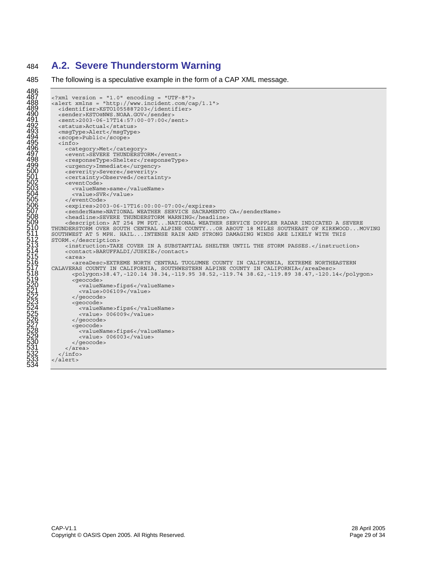## **A.2. Severe Thunderstorm Warning**

```
486 
          \langle?xml version = "1.0" encoding = "UTF-8"?>
         \alpha alert xmlns = "http://www.incident.com/cap/1.1">
             489 <identifier>KSTO1055887203</identifier> 
            490 <sender>KSTO@NWS.NOAA.GOV</sender> 
            491 <sent>2003-06-17T14:57:00-07:00</sent> 
            492 <status>Actual</status> 
            493 <msgType>Alert</msgType> 
            494 <scope>Public</scope> 
            \sin fo><category>Met</category>
               497 <event>SEVERE THUNDERSTORM</event> 
               498 <responseType>Shelter</responseType> 
               499 <urgency>Immediate</urgency> 
               500 <severity>Severe</severity> 
               <certainty>Observed</certainty>
               502 <eventCode> 
                  503<valueName>same</valueName> 504 <value>SVR</value> 
               </eventCode>
               506 <expires>2003-06-17T16:00:00-07:00</expires> 
               507<senderName>NATIONAL WEATHER SERVICE SACRAMENTO CA</senderName> 508 <headline>SEVERE THUNDERSTORM WARNING</headline> 
509 <description> AT 254 PM PDT...NATIONAL WEATHER SERVICE DOPPLER RADAR INDICATED A SEVERE 
510 THUNDERSTORM OVER SOUTH CENTRAL ALPINE COUNTY...OR ABOUT 18 MILES SOUTHEAST OF KIRKWOOD...MOVING 
         511 SOUTHWEST AT 5 MPH. HAIL...INTENSE RAIN AND STRONG DAMAGING WINDS ARE LIKELY WITH THIS 
         512 STORM.</description> 
               513<instruction>TAKE COVER IN A SUBSTANTIAL SHELTER UNTIL THE STORM PASSES.</instruction> 514 <contact>BARUFFALDI/JUSKIE</contact> 
               515 <area> 
         516<areaDesc>EXTREME NORTH CENTRAL TUOLUMNE COUNTY IN CALIFORNIA, EXTREME NORTHEASTERN 517 CALAVERAS COUNTY IN CALIFORNIA, SOUTHWESTERN ALPINE COUNTY IN CALIFORNIA</areaDesc> 
                  518 <polygon>38.47,-120.14 38.34,-119.95 38.52,-119.74 38.62,-119.89 38.47,-120.14</polygon> 
                    519<geocode> 520 <valueName>fips6</valueName> 
                     <value>006109</value>
                  </geocode><br><geocode>
                     524 <valueName>fips6</valueName> 
                  \langle \text{value} \rangle 006009</value><br> \langle \text{qeocode} \rangle<geocode>
                     528<valueName>fips6</valueName> 529 <value> 006003</value> 
               </geocode><br></area>
\frac{531}{22} </area>
          </info><br></alert>
534
```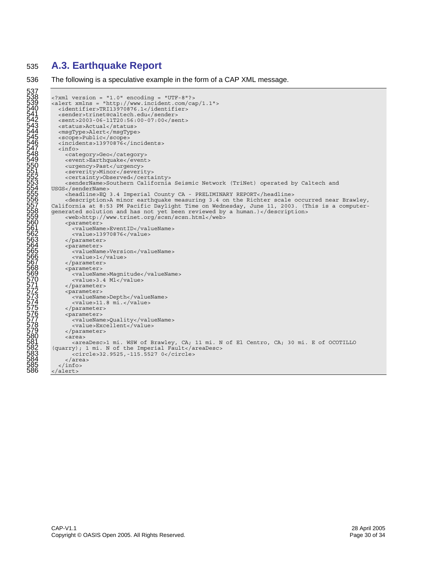# 535 **A.3. Earthquake Report**

537

```
\langle?xml version = "1.0" encoding = "UTF-8"?>
         \alpha alert xmlns = "http://www.incident.com/cap/1.1">
            <identifier>TRI13970876.1</identifier>
            541 <sender>trinet@caltech.edu</sender> 
            542 <sent>2003-06-11T20:56:00-07:00</sent> 
            543 <status>Actual</status> 
            544 <msgType>Alert</msgType> 
            545 <scope>Public</scope> 
            546 <incidents>13970876</incidents> 
            547 <info> 
548 <category>Geo</category> 
549 <event>Earthquake</event> 
               550 <urgency>Past</urgency> 
               551 <severity>Minor</severity> 
               552 <certainty>Observed</certainty> 
         <senderName>Southern California Seismic Network (TriNet) operated by Caltech and USGS</senderName>
              554USGS</senderName> 555 <headline>EQ 3.4 Imperial County CA - PRELIMINARY REPORT</headline> 
               556 <description>A minor earthquake measuring 3.4 on the Richter scale occurred near Brawley, 
         California at 8:53 PM Pacific Daylight Time on Wednesday, June 11, 2003. (This is a computer-
         generated solution and has not yet been reviewed by a human.)</description> <web>http://www.trinet.org/scsn/scsn.html</web>
               <parameter>
                 561<valueName>EventID</valueName> 562 <value>13970876</value> 
               </parameter><br><parameter>
                 <valueName>Version</valueName>
                 566 <value>1</value> 
              567</parameter> 568 <parameter> 
                 569 <valueName>Magnitude</valueName> 
               <value>3.4 Ml</value><br> </parameter>
              <parameter>
                 573<valueName>Depth</valueName> 574 <value>11.8 mi.</value> 
               </parameter><br><parameter>
                 <valueName>Quality</valueName>
                 578 <value>Excellent</value> 
               579</parameter> 580 <area> 
581 <areaDesc>1 mi. WSW of Brawley, CA; 11 mi. N of El Centro, CA; 30 mi. E of OCOTILLO 
582(quarry); 1 mi. N of the Imperial Fault</areaDesc> 583 <circle>32.9525,-115.5527 0</circle> 
\frac{584}{100} </area>
585 </info><br>586 </alert>
         586 </alert>
```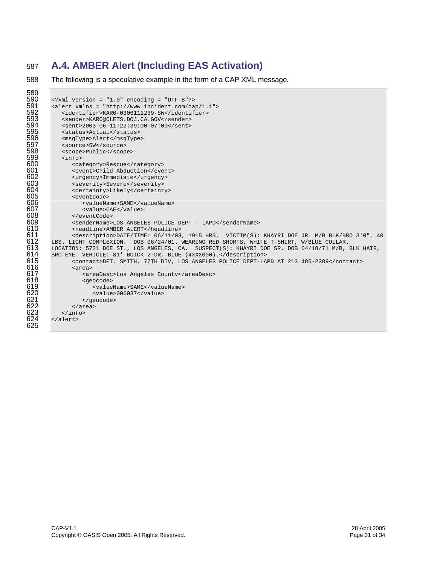# 587 **A.4. AMBER Alert (Including EAS Activation)**

```
589 
590 <?xml version = "1.0" encoding = "UTF-8"?> 
591 <alert xmlns = "http://www.incident.com/cap/1.1"><br>592 <identifier>KAR0-0306112239-SW</identifier>
592 <identifier>KAR0-0306112239-SW</identifier><br>593 <sender>KAR0@CLETS.DOJ.CA.GOV</sender>
593 <sender>KARO@CLETS.DOJ.CA.GOV</sender> 
594 <sent>2003-06-11T22:39:00-07:00</sent> 
595 <status>Actual</status><br>596 <msgType>Alert</msgType
596 <msgType>Alert</msgType><br>597 <source>SW</source>
597 <source>SW</source><br>598 <scope>Public</scop
598 <scope>Public</scope><br>599 <info>
599 <info><br>600 <ca
600 <category>Rescue</category><br>601 <event>Child Abduction</eve
601 <event>Child Abduction</event><br>602 <urgency>Immediate</urgency>
602 <urgency>Immediate</urgency><br>603 <severity>Severe</severity>
603 <severity>Severe</severity><br>604 <certainty>Likely</certaint
604 <certainty>Likely</certainty><br>605 <wentCode>
605 <eventCode> 
606 <valueName>SAME</valueName><br>607 <value>CAE</value>
607 <value>CAE</value><br>608 </eventCode>
608 </eventCode><br>609 <senderName>
609 <senderName>LOS ANGELES POLICE DEPT - LAPD</senderName><br>610 <headline>AMBER ALERT</headline>
610 <headline>AMBER ALERT</headline><br>611 <description>DATE/TIME: 06/11/03
611 <description>DATE/TIME: 06/11/03, 1915 HRS. VICTIM(S): KHAYRI DOE JR. M/B BLK/BRO 3'0", 40<br>612 LBS. LIGHT COMPLEXION. DOB 06/24/01. WEARING RED SHORTS, WHITE T-SHIRT, W/BLUE COLLAR.
612 LBS. LIGHT COMPLEXION. DOB 06/24/01. WEARING RED SHORTS, WHITE T-SHIRT, W/BLUE COLLAR.<br>613 LOCATION: 5721 DOE ST., LOS ANGELES, CA. SUSPECT(S): KHAYRI DOE SR. DOB 04/18/71 M/B,
613 LOCATION: 5721 DOE ST., LOS ANGELES, CA. SUSPECT(S): KHAYRI DOE SR. DOB 04/18/71 M/B, BLK HAIR, 614 DRO EYE. VEHICLE: 81' BUICK 2-DR, BLUE (4XXX000).</description>
614 BRO EYE. VEHICLE: 81' BUICK 2-DR, BLUE (4XXX000).</description> 
615 <contact>DET. SMITH, 77TH DIV, LOS ANGELES POLICE DEPT-LAPD AT 213 485-2389</contact><br>616 <area> <areaDesc>Los Angeles County</areaDesc>
                   616 <area> 
617 <areaDesc>Los Angeles County</areaDesc> 
618 <geocode><br>619 <br/> <geocode>
619 <valueName>SAME</valueName><br>620 <value>006037</value><br>621 </area><br>622 </area>
                            620 <value>006037</value> 
                       621 </geocode> 
                   622 </area> 
               \langleinfo>624 </alert> 
623<br>624<br>625
```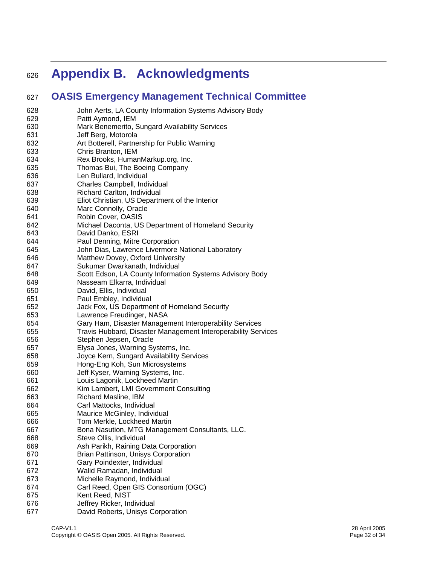# <sup>626</sup>**Appendix B. Acknowledgments**

# 627 **OASIS Emergency Management Technical Committee**

| 628        | John Aerts, LA County Information Systems Advisory Body             |
|------------|---------------------------------------------------------------------|
| 629        | Patti Aymond, IEM                                                   |
| 630        | Mark Benemerito, Sungard Availability Services                      |
| 631        | Jeff Berg, Motorola                                                 |
| 632<br>633 | Art Botterell, Partnership for Public Warning<br>Chris Branton, IEM |
| 634        | Rex Brooks, HumanMarkup.org, Inc.                                   |
| 635        | Thomas Bui, The Boeing Company                                      |
| 636        | Len Bullard, Individual                                             |
| 637        | Charles Campbell, Individual                                        |
| 638        | Richard Carlton, Individual                                         |
| 639        | Eliot Christian, US Department of the Interior                      |
| 640        | Marc Connolly, Oracle                                               |
| 641        | Robin Cover, OASIS                                                  |
| 642        | Michael Daconta, US Department of Homeland Security                 |
| 643        | David Danko, ESRI                                                   |
| 644        | Paul Denning, Mitre Corporation                                     |
| 645        | John Dias, Lawrence Livermore National Laboratory                   |
| 646        | Matthew Dovey, Oxford University                                    |
| 647        | Sukumar Dwarkanath, Individual                                      |
| 648        | Scott Edson, LA County Information Systems Advisory Body            |
| 649        | Nasseam Elkarra, Individual                                         |
| 650        | David, Ellis, Individual                                            |
| 651        | Paul Embley, Individual                                             |
| 652        | Jack Fox, US Department of Homeland Security                        |
| 653        | Lawrence Freudinger, NASA                                           |
| 654        | Gary Ham, Disaster Management Interoperability Services             |
| 655        | Travis Hubbard, Disaster Management Interoperability Services       |
| 656        | Stephen Jepsen, Oracle                                              |
| 657        | Elysa Jones, Warning Systems, Inc.                                  |
| 658        | Joyce Kern, Sungard Availability Services                           |
| 659        | Hong-Eng Koh, Sun Microsystems                                      |
| 660        | Jeff Kyser, Warning Systems, Inc.                                   |
| 661        | Louis Lagonik, Lockheed Martin                                      |
| 662        | Kim Lambert, LMI Government Consulting                              |
| 663<br>664 | Richard Masline, IBM<br>Carl Mattocks, Individual                   |
| 665        | Maurice McGinley, Individual                                        |
| 666        | Tom Merkle, Lockheed Martin                                         |
| 667        | Bona Nasution, MTG Management Consultants, LLC.                     |
| 668        | Steve Ollis, Individual                                             |
| 669        | Ash Parikh, Raining Data Corporation                                |
| 670        | Brian Pattinson, Unisys Corporation                                 |
| 671        | Gary Poindexter, Individual                                         |
| 672        | Walid Ramadan, Individual                                           |
| 673        | Michelle Raymond, Individual                                        |
| 674        | Carl Reed, Open GIS Consortium (OGC)                                |
| 675        | Kent Reed, NIST                                                     |
| 676        | Jeffrey Ricker, Individual                                          |
| 677        | David Roberts, Unisys Corporation                                   |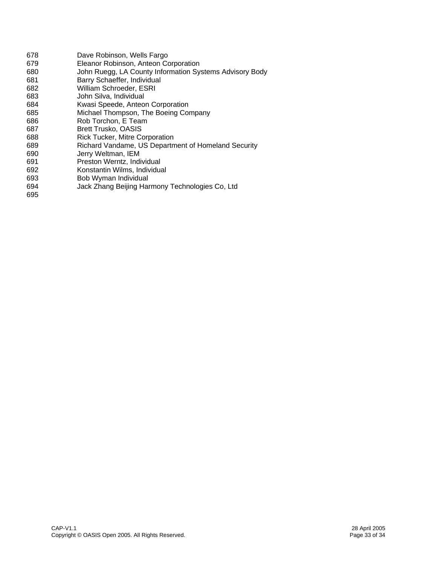| 678 | Dave Robinson, Wells Fargo                              |
|-----|---------------------------------------------------------|
| 679 | Eleanor Robinson, Anteon Corporation                    |
| 680 | John Ruegg, LA County Information Systems Advisory Body |
| 681 | Barry Schaeffer, Individual                             |
| 682 | William Schroeder, ESRI                                 |
| 683 | John Silva, Individual                                  |
| 684 | Kwasi Speede, Anteon Corporation                        |
| 685 | Michael Thompson, The Boeing Company                    |
| 686 | Rob Torchon, E Team                                     |
| 687 | <b>Brett Trusko, OASIS</b>                              |
| 688 | <b>Rick Tucker, Mitre Corporation</b>                   |
| 689 | Richard Vandame, US Department of Homeland Security     |
| 690 | Jerry Weltman, IEM                                      |
| 691 | Preston Werntz, Individual                              |
| 692 | Konstantin Wilms, Individual                            |
| 693 | Bob Wyman Individual                                    |
| 694 | Jack Zhang Beijing Harmony Technologies Co, Ltd         |
| 695 |                                                         |